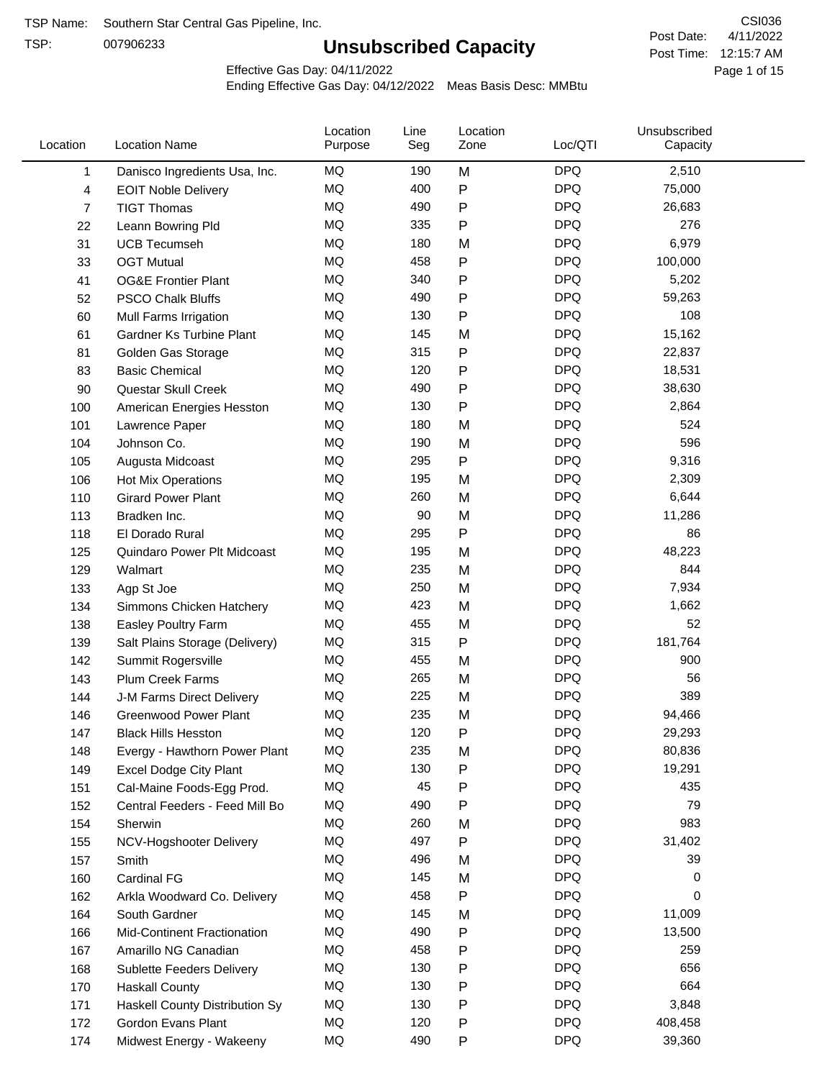TSP:

# **Unsubscribed Capacity**

4/11/2022 Page 1 of 15 Post Time: 12:15:7 AM CSI036 Post Date:

Effective Gas Day: 04/11/2022

| Location | <b>Location Name</b>           | Location<br>Purpose | Line<br>Seg | Location<br>Zone | Loc/QTI    | Unsubscribed<br>Capacity |  |
|----------|--------------------------------|---------------------|-------------|------------------|------------|--------------------------|--|
| 1        | Danisco Ingredients Usa, Inc.  | MQ                  | 190         | M                | <b>DPQ</b> | 2,510                    |  |
| 4        | <b>EOIT Noble Delivery</b>     | MQ                  | 400         | P                | <b>DPQ</b> | 75,000                   |  |
| 7        | <b>TIGT Thomas</b>             | <b>MQ</b>           | 490         | P                | <b>DPQ</b> | 26,683                   |  |
| 22       | Leann Bowring Pld              | <b>MQ</b>           | 335         | Ρ                | <b>DPQ</b> | 276                      |  |
| 31       | <b>UCB Tecumseh</b>            | <b>MQ</b>           | 180         | M                | <b>DPQ</b> | 6,979                    |  |
| 33       | <b>OGT Mutual</b>              | MQ                  | 458         | P                | <b>DPQ</b> | 100,000                  |  |
| 41       | <b>OG&amp;E Frontier Plant</b> | MQ                  | 340         | P                | <b>DPQ</b> | 5,202                    |  |
| 52       | <b>PSCO Chalk Bluffs</b>       | MQ                  | 490         | Ρ                | <b>DPQ</b> | 59,263                   |  |
| 60       | Mull Farms Irrigation          | MQ                  | 130         | Ρ                | <b>DPQ</b> | 108                      |  |
| 61       | Gardner Ks Turbine Plant       | <b>MQ</b>           | 145         | M                | <b>DPQ</b> | 15,162                   |  |
| 81       | Golden Gas Storage             | MQ                  | 315         | Ρ                | <b>DPQ</b> | 22,837                   |  |
| 83       | <b>Basic Chemical</b>          | MQ                  | 120         | P                | <b>DPQ</b> | 18,531                   |  |
| 90       | Questar Skull Creek            | MQ                  | 490         | P                | <b>DPQ</b> | 38,630                   |  |
| 100      | American Energies Hesston      | <b>MQ</b>           | 130         | P                | <b>DPQ</b> | 2,864                    |  |
| 101      | Lawrence Paper                 | <b>MQ</b>           | 180         | M                | <b>DPQ</b> | 524                      |  |
| 104      | Johnson Co.                    | MQ                  | 190         | M                | <b>DPQ</b> | 596                      |  |
| 105      | Augusta Midcoast               | <b>MQ</b>           | 295         | Ρ                | <b>DPQ</b> | 9,316                    |  |
| 106      | Hot Mix Operations             | MQ                  | 195         | M                | <b>DPQ</b> | 2,309                    |  |
| 110      | <b>Girard Power Plant</b>      | <b>MQ</b>           | 260         | M                | <b>DPQ</b> | 6,644                    |  |
| 113      | Bradken Inc.                   | MQ                  | 90          | M                | <b>DPQ</b> | 11,286                   |  |
| 118      | El Dorado Rural                | MQ                  | 295         | P                | <b>DPQ</b> | 86                       |  |
| 125      | Quindaro Power Plt Midcoast    | <b>MQ</b>           | 195         | M                | <b>DPQ</b> | 48,223                   |  |
| 129      | Walmart                        | <b>MQ</b>           | 235         | M                | <b>DPQ</b> | 844                      |  |
| 133      | Agp St Joe                     | <b>MQ</b>           | 250         | M                | <b>DPQ</b> | 7,934                    |  |
| 134      | Simmons Chicken Hatchery       | MQ                  | 423         | M                | <b>DPQ</b> | 1,662                    |  |
| 138      | Easley Poultry Farm            | MQ                  | 455         | M                | <b>DPQ</b> | 52                       |  |
| 139      | Salt Plains Storage (Delivery) | MQ                  | 315         | P                | <b>DPQ</b> | 181,764                  |  |
| 142      | Summit Rogersville             | <b>MQ</b>           | 455         | M                | <b>DPQ</b> | 900                      |  |
| 143      | <b>Plum Creek Farms</b>        | MQ                  | 265         | M                | <b>DPQ</b> | 56                       |  |
| 144      | J-M Farms Direct Delivery      | MQ                  | 225         | M                | <b>DPQ</b> | 389                      |  |
| 146      | <b>Greenwood Power Plant</b>   | <b>MQ</b>           | 235         | M                | <b>DPQ</b> | 94,466                   |  |
| 147      | <b>Black Hills Hesston</b>     | MQ                  | 120         | Ρ                | <b>DPQ</b> | 29,293                   |  |
| 148      | Evergy - Hawthorn Power Plant  | ΜQ                  | 235         | M                | <b>DPQ</b> | 80,836                   |  |
| 149      | Excel Dodge City Plant         | MQ                  | 130         | Ρ                | <b>DPQ</b> | 19,291                   |  |
| 151      | Cal-Maine Foods-Egg Prod.      | MQ                  | 45          | P                | <b>DPQ</b> | 435                      |  |
| 152      | Central Feeders - Feed Mill Bo | MQ                  | 490         | Ρ                | <b>DPQ</b> | 79                       |  |
| 154      | Sherwin                        | MQ                  | 260         | M                | <b>DPQ</b> | 983                      |  |
| 155      | NCV-Hogshooter Delivery        | MQ                  | 497         | Ρ                | <b>DPQ</b> | 31,402                   |  |
| 157      | Smith                          | MQ                  | 496         | M                | <b>DPQ</b> | 39                       |  |
| 160      | Cardinal FG                    | MQ                  | 145         | M                | <b>DPQ</b> | 0                        |  |
| 162      | Arkla Woodward Co. Delivery    | MQ                  | 458         | P                | <b>DPQ</b> | 0                        |  |
| 164      | South Gardner                  | MQ                  | 145         | M                | <b>DPQ</b> | 11,009                   |  |
| 166      | Mid-Continent Fractionation    | MQ                  | 490         | Ρ                | <b>DPQ</b> | 13,500                   |  |
| 167      | Amarillo NG Canadian           | MQ                  | 458         | Ρ                | <b>DPQ</b> | 259                      |  |
| 168      | Sublette Feeders Delivery      | MQ                  | 130         | Ρ                | <b>DPQ</b> | 656                      |  |
| 170      | <b>Haskall County</b>          | MQ                  | 130         | Ρ                | <b>DPQ</b> | 664                      |  |
| 171      | Haskell County Distribution Sy | MQ                  | 130         | Ρ                | <b>DPQ</b> | 3,848                    |  |
| 172      | Gordon Evans Plant             | MQ                  | 120         | Ρ                | <b>DPQ</b> | 408,458                  |  |
| 174      | Midwest Energy - Wakeeny       | MQ                  | 490         | P                | <b>DPQ</b> | 39,360                   |  |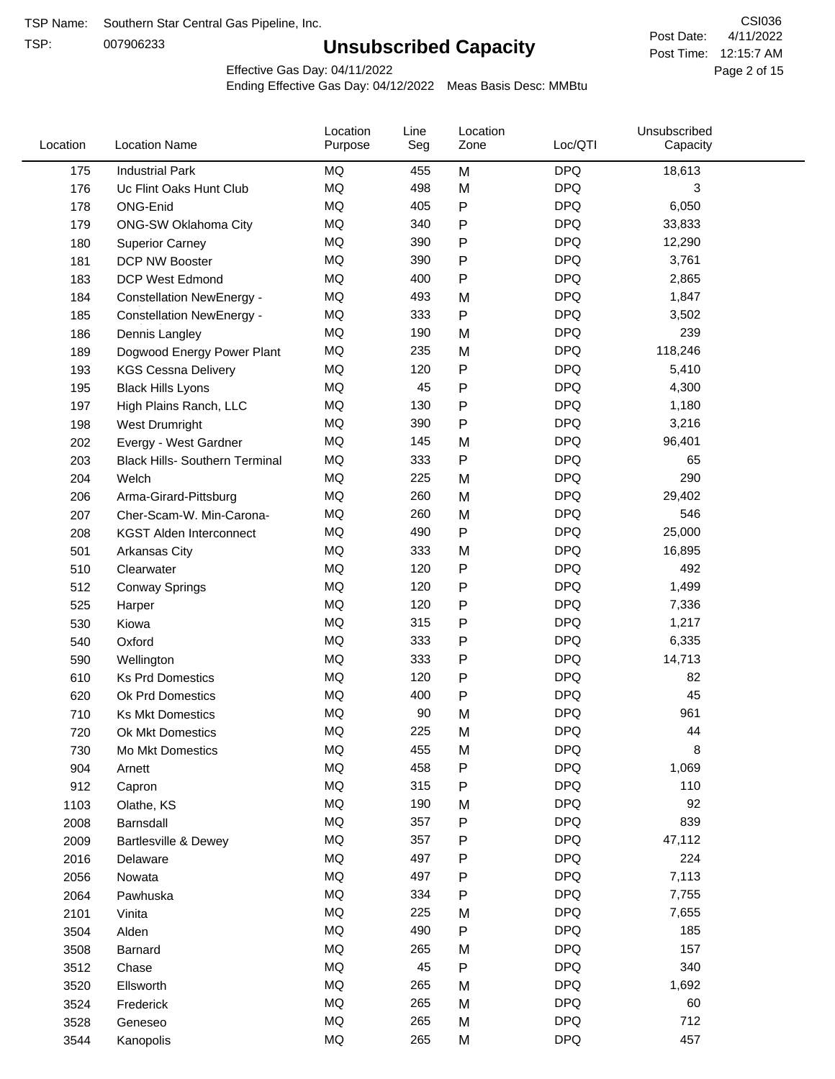TSP:

# **Unsubscribed Capacity**

4/11/2022 Page 2 of 15 Post Time: 12:15:7 AM CSI036 Post Date:

Effective Gas Day: 04/11/2022

| Location | <b>Location Name</b>                  | Location<br>Purpose | Line<br>Seg | Location<br>Zone | Loc/QTI    | Unsubscribed<br>Capacity |  |
|----------|---------------------------------------|---------------------|-------------|------------------|------------|--------------------------|--|
| 175      | <b>Industrial Park</b>                | MQ                  | 455         | M                | <b>DPQ</b> | 18,613                   |  |
| 176      | Uc Flint Oaks Hunt Club               | MQ                  | 498         | M                | <b>DPQ</b> | 3                        |  |
| 178      | ONG-Enid                              | MQ                  | 405         | P                | <b>DPQ</b> | 6,050                    |  |
| 179      | ONG-SW Oklahoma City                  | MQ                  | 340         | P                | <b>DPQ</b> | 33,833                   |  |
| 180      | <b>Superior Carney</b>                | <b>MQ</b>           | 390         | Ρ                | <b>DPQ</b> | 12,290                   |  |
| 181      | DCP NW Booster                        | <b>MQ</b>           | 390         | P                | <b>DPQ</b> | 3,761                    |  |
| 183      | <b>DCP West Edmond</b>                | <b>MQ</b>           | 400         | P                | <b>DPQ</b> | 2,865                    |  |
| 184      | <b>Constellation NewEnergy -</b>      | <b>MQ</b>           | 493         | M                | <b>DPQ</b> | 1,847                    |  |
| 185      | <b>Constellation NewEnergy -</b>      | MQ                  | 333         | P                | <b>DPQ</b> | 3,502                    |  |
| 186      | Dennis Langley                        | <b>MQ</b>           | 190         | M                | <b>DPQ</b> | 239                      |  |
| 189      | Dogwood Energy Power Plant            | MQ                  | 235         | M                | <b>DPQ</b> | 118,246                  |  |
| 193      | <b>KGS Cessna Delivery</b>            | MQ                  | 120         | P                | <b>DPQ</b> | 5,410                    |  |
| 195      | <b>Black Hills Lyons</b>              | <b>MQ</b>           | 45          | Ρ                | <b>DPQ</b> | 4,300                    |  |
| 197      | High Plains Ranch, LLC                | <b>MQ</b>           | 130         | Ρ                | <b>DPQ</b> | 1,180                    |  |
| 198      | West Drumright                        | <b>MQ</b>           | 390         | P                | <b>DPQ</b> | 3,216                    |  |
| 202      | Evergy - West Gardner                 | <b>MQ</b>           | 145         | M                | <b>DPQ</b> | 96,401                   |  |
| 203      | <b>Black Hills- Southern Terminal</b> | <b>MQ</b>           | 333         | P                | <b>DPQ</b> | 65                       |  |
| 204      | Welch                                 | MQ                  | 225         | M                | <b>DPQ</b> | 290                      |  |
| 206      | Arma-Girard-Pittsburg                 | <b>MQ</b>           | 260         | M                | <b>DPQ</b> | 29,402                   |  |
| 207      | Cher-Scam-W. Min-Carona-              | MQ                  | 260         | M                | <b>DPQ</b> | 546                      |  |
| 208      | <b>KGST Alden Interconnect</b>        | <b>MQ</b>           | 490         | P                | <b>DPQ</b> | 25,000                   |  |
| 501      | <b>Arkansas City</b>                  | <b>MQ</b>           | 333         | M                | <b>DPQ</b> | 16,895                   |  |
| 510      | Clearwater                            | <b>MQ</b>           | 120         | P                | <b>DPQ</b> | 492                      |  |
| 512      | <b>Conway Springs</b>                 | <b>MQ</b>           | 120         | P                | <b>DPQ</b> | 1,499                    |  |
| 525      | Harper                                | <b>MQ</b>           | 120         | P                | <b>DPQ</b> | 7,336                    |  |
| 530      | Kiowa                                 | <b>MQ</b>           | 315         | P                | <b>DPQ</b> | 1,217                    |  |
| 540      | Oxford                                | <b>MQ</b>           | 333         | Ρ                | <b>DPQ</b> | 6,335                    |  |
| 590      | Wellington                            | <b>MQ</b>           | 333         | Ρ                | <b>DPQ</b> | 14,713                   |  |
| 610      | <b>Ks Prd Domestics</b>               | MQ                  | 120         | P                | <b>DPQ</b> | 82                       |  |
| 620      | Ok Prd Domestics                      | <b>MQ</b>           | 400         | P                | <b>DPQ</b> | 45                       |  |
| 710      | <b>Ks Mkt Domestics</b>               | <b>MQ</b>           | 90          | M                | <b>DPQ</b> | 961                      |  |
| 720      | Ok Mkt Domestics                      | MQ                  | 225         | M                | <b>DPQ</b> | 44                       |  |
| 730      | Mo Mkt Domestics                      | MQ                  | 455         | M                | <b>DPQ</b> | 8                        |  |
| 904      | Arnett                                | $\sf{MQ}$           | 458         | Ρ                | <b>DPQ</b> | 1,069                    |  |
| 912      | Capron                                | $\sf{MQ}$           | 315         | Ρ                | <b>DPQ</b> | 110                      |  |
| 1103     | Olathe, KS                            | $\sf{MQ}$           | 190         | M                | <b>DPQ</b> | 92                       |  |
| 2008     | Barnsdall                             | MQ                  | 357         | Ρ                | <b>DPQ</b> | 839                      |  |
| 2009     | Bartlesville & Dewey                  | MQ                  | 357         | Ρ                | <b>DPQ</b> | 47,112                   |  |
| 2016     | Delaware                              | MQ                  | 497         | Ρ                | <b>DPQ</b> | 224                      |  |
| 2056     | Nowata                                | MQ                  | 497         | Ρ                | <b>DPQ</b> | 7,113                    |  |
| 2064     | Pawhuska                              | MQ                  | 334         | Ρ                | <b>DPQ</b> | 7,755                    |  |
| 2101     | Vinita                                | MQ                  | 225         | M                | <b>DPQ</b> | 7,655                    |  |
| 3504     | Alden                                 | $\sf{MQ}$           | 490         | P                | <b>DPQ</b> | 185                      |  |
| 3508     | Barnard                               | $\sf{MQ}$           | 265         | M                | <b>DPQ</b> | 157                      |  |
| 3512     | Chase                                 | $\sf{MQ}$           | 45          | Ρ                | <b>DPQ</b> | 340                      |  |
| 3520     | Ellsworth                             | MQ                  | 265         | M                | <b>DPQ</b> | 1,692                    |  |
| 3524     | Frederick                             | MQ                  | 265         | M                | <b>DPQ</b> | 60                       |  |
| 3528     | Geneseo                               | $\sf{MQ}$           | 265         | M                | <b>DPQ</b> | 712                      |  |
| 3544     | Kanopolis                             | $\sf{MQ}$           | 265         | M                | <b>DPQ</b> | 457                      |  |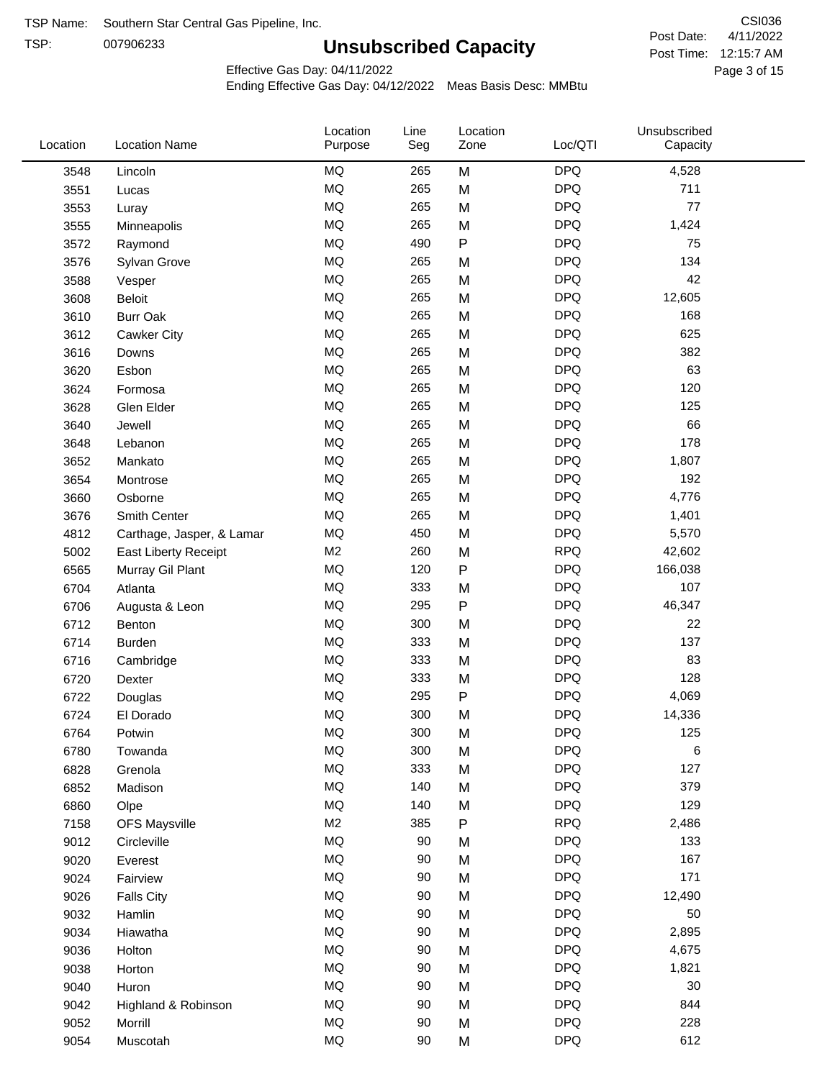TSP:

# **Unsubscribed Capacity**

4/11/2022 Page 3 of 15 Post Time: 12:15:7 AM CSI036 Post Date:

Effective Gas Day: 04/11/2022

| Location | <b>Location Name</b>      | Location<br>Purpose | Line<br>Seg | Location<br>Zone | Loc/QTI    | Unsubscribed<br>Capacity |  |
|----------|---------------------------|---------------------|-------------|------------------|------------|--------------------------|--|
| 3548     | Lincoln                   | <b>MQ</b>           | 265         | M                | <b>DPQ</b> | 4,528                    |  |
| 3551     | Lucas                     | <b>MQ</b>           | 265         | M                | <b>DPQ</b> | 711                      |  |
| 3553     | Luray                     | <b>MQ</b>           | 265         | M                | <b>DPQ</b> | 77                       |  |
| 3555     | Minneapolis               | <b>MQ</b>           | 265         | M                | <b>DPQ</b> | 1,424                    |  |
| 3572     | Raymond                   | <b>MQ</b>           | 490         | P                | <b>DPQ</b> | 75                       |  |
| 3576     | Sylvan Grove              | <b>MQ</b>           | 265         | M                | <b>DPQ</b> | 134                      |  |
| 3588     | Vesper                    | <b>MQ</b>           | 265         | M                | <b>DPQ</b> | 42                       |  |
| 3608     | Beloit                    | <b>MQ</b>           | 265         | M                | <b>DPQ</b> | 12,605                   |  |
| 3610     | <b>Burr Oak</b>           | <b>MQ</b>           | 265         | M                | <b>DPQ</b> | 168                      |  |
| 3612     | Cawker City               | <b>MQ</b>           | 265         | M                | <b>DPQ</b> | 625                      |  |
| 3616     | Downs                     | <b>MQ</b>           | 265         | M                | <b>DPQ</b> | 382                      |  |
| 3620     | Esbon                     | <b>MQ</b>           | 265         | M                | <b>DPQ</b> | 63                       |  |
| 3624     | Formosa                   | <b>MQ</b>           | 265         | M                | <b>DPQ</b> | 120                      |  |
| 3628     | Glen Elder                | <b>MQ</b>           | 265         | M                | <b>DPQ</b> | 125                      |  |
| 3640     | Jewell                    | <b>MQ</b>           | 265         | M                | <b>DPQ</b> | 66                       |  |
| 3648     | Lebanon                   | <b>MQ</b>           | 265         | M                | <b>DPQ</b> | 178                      |  |
| 3652     | Mankato                   | <b>MQ</b>           | 265         | M                | <b>DPQ</b> | 1,807                    |  |
| 3654     | Montrose                  | <b>MQ</b>           | 265         | M                | <b>DPQ</b> | 192                      |  |
| 3660     | Osborne                   | <b>MQ</b>           | 265         | M                | <b>DPQ</b> | 4,776                    |  |
| 3676     | Smith Center              | <b>MQ</b>           | 265         | M                | <b>DPQ</b> | 1,401                    |  |
| 4812     | Carthage, Jasper, & Lamar | <b>MQ</b>           | 450         | M                | <b>DPQ</b> | 5,570                    |  |
| 5002     | East Liberty Receipt      | M <sub>2</sub>      | 260         | M                | <b>RPQ</b> | 42,602                   |  |
| 6565     | Murray Gil Plant          | <b>MQ</b>           | 120         | $\mathsf{P}$     | <b>DPQ</b> | 166,038                  |  |
| 6704     | Atlanta                   | <b>MQ</b>           | 333         | M                | <b>DPQ</b> | 107                      |  |
| 6706     | Augusta & Leon            | <b>MQ</b>           | 295         | P                | <b>DPQ</b> | 46,347                   |  |
| 6712     | Benton                    | <b>MQ</b>           | 300         | M                | <b>DPQ</b> | 22                       |  |
| 6714     | Burden                    | <b>MQ</b>           | 333         | M                | <b>DPQ</b> | 137                      |  |
| 6716     | Cambridge                 | <b>MQ</b>           | 333         | M                | <b>DPQ</b> | 83                       |  |
| 6720     | Dexter                    | <b>MQ</b>           | 333         | M                | <b>DPQ</b> | 128                      |  |
| 6722     | Douglas                   | <b>MQ</b>           | 295         | P                | <b>DPQ</b> | 4,069                    |  |
| 6724     | El Dorado                 | <b>MQ</b>           | 300         | M                | <b>DPQ</b> | 14,336                   |  |
| 6764     | Potwin                    | <b>MQ</b>           | 300         | M                | <b>DPQ</b> | 125                      |  |
| 6780     | Towanda                   | MQ                  | 300         | M                | <b>DPQ</b> | 6                        |  |
| 6828     | Grenola                   | <b>MQ</b>           | 333         | M                | <b>DPQ</b> | 127                      |  |
| 6852     | Madison                   | <b>MQ</b>           | 140         | M                | <b>DPQ</b> | 379                      |  |
| 6860     | Olpe                      | <b>MQ</b>           | 140         | M                | <b>DPQ</b> | 129                      |  |
| 7158     | <b>OFS Maysville</b>      | M <sub>2</sub>      | 385         | P                | <b>RPQ</b> | 2,486                    |  |
| 9012     | Circleville               | <b>MQ</b>           | 90          | M                | <b>DPQ</b> | 133                      |  |
| 9020     | Everest                   | MQ                  | 90          | M                | <b>DPQ</b> | 167                      |  |
| 9024     | Fairview                  | <b>MQ</b>           | 90          | M                | <b>DPQ</b> | 171                      |  |
| 9026     | <b>Falls City</b>         | MQ                  | 90          | M                | <b>DPQ</b> | 12,490                   |  |
| 9032     | Hamlin                    | MQ                  | 90          | M                | <b>DPQ</b> | 50                       |  |
| 9034     | Hiawatha                  | MQ                  | 90          | M                | <b>DPQ</b> | 2,895                    |  |
| 9036     | Holton                    | <b>MQ</b>           | 90          | M                | <b>DPQ</b> | 4,675                    |  |
| 9038     | Horton                    | <b>MQ</b>           | 90          | M                | <b>DPQ</b> | 1,821                    |  |
| 9040     | Huron                     | MQ                  | 90          | M                | <b>DPQ</b> | 30                       |  |
| 9042     | Highland & Robinson       | MQ                  | 90          | M                | <b>DPQ</b> | 844                      |  |
| 9052     | Morrill                   | $\sf{MQ}$           | 90          | M                | <b>DPQ</b> | 228                      |  |
| 9054     | Muscotah                  | <b>MQ</b>           | 90          | M                | <b>DPQ</b> | 612                      |  |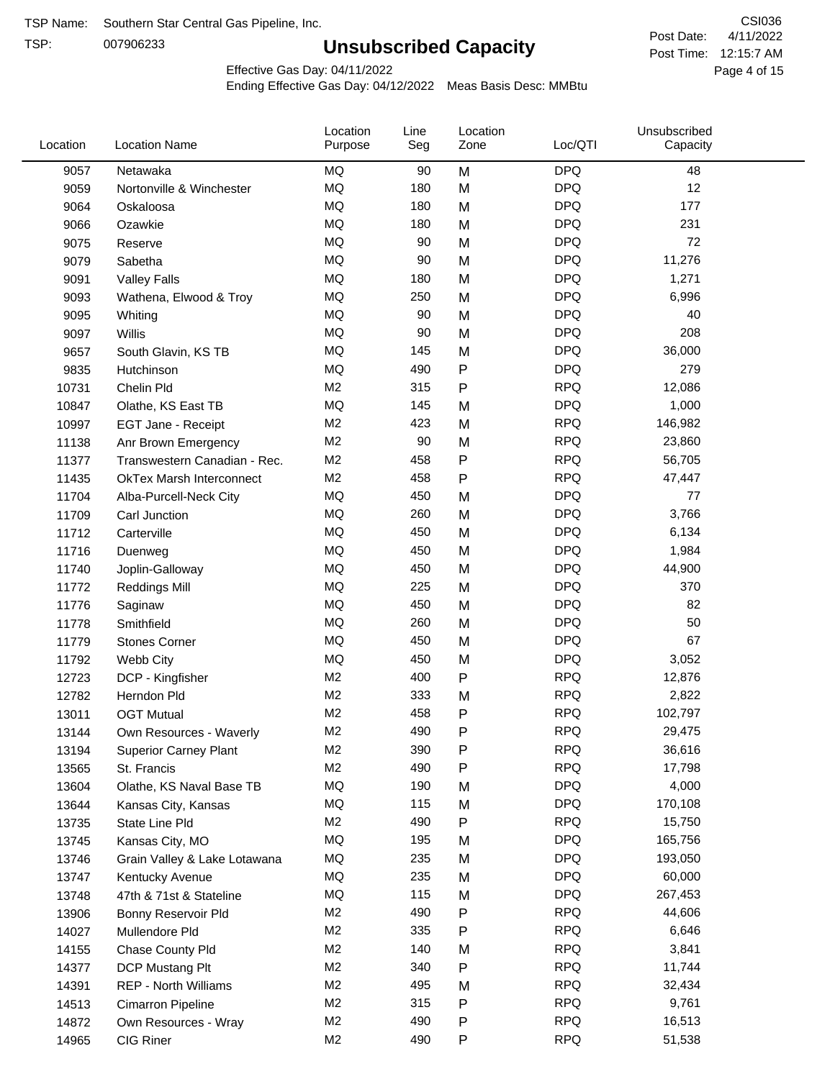TSP:

# **Unsubscribed Capacity**

4/11/2022 Page 4 of 15 Post Time: 12:15:7 AM CSI036 Post Date:

Effective Gas Day: 04/11/2022

| MQ<br><b>DPQ</b><br>9057<br>Netawaka<br>90<br>M<br>48<br>MQ<br><b>DPQ</b><br>12<br>180<br>M<br>9059<br>Nortonville & Winchester<br><b>DPQ</b><br>MQ<br>180<br>M<br>177<br>9064<br>Oskaloosa<br><b>MQ</b><br><b>DPQ</b><br>231<br>180<br>M<br>9066<br>Ozawkie<br><b>MQ</b><br><b>DPQ</b><br>72<br>90<br>M<br>9075<br>Reserve<br>MQ<br><b>DPQ</b><br>90<br>11,276<br>Sabetha<br>M<br>9079<br>MQ<br><b>DPQ</b><br>180<br>M<br>1,271<br>9091<br><b>Valley Falls</b><br>MQ<br><b>DPQ</b><br>250<br>6,996<br>M<br>9093<br>Wathena, Elwood & Troy<br><b>DPQ</b><br>MQ<br>90<br>M<br>40<br>9095<br>Whiting<br><b>MQ</b><br><b>DPQ</b><br>208<br>90<br>M<br>9097<br>Willis<br>MQ<br><b>DPQ</b><br>36,000<br>145<br>M<br>9657<br>South Glavin, KS TB<br>Ρ<br><b>DPQ</b><br>279<br>MQ<br>490<br>9835<br>Hutchinson<br>M <sub>2</sub><br><b>RPQ</b><br>315<br>P<br>12,086<br>10731<br>Chelin Pld<br><b>MQ</b><br><b>DPQ</b><br>145<br>1,000<br>M<br>10847<br>Olathe, KS East TB<br>M <sub>2</sub><br><b>RPQ</b><br>423<br>146,982<br>M<br>10997<br>EGT Jane - Receipt<br>M <sub>2</sub><br><b>RPQ</b><br>90<br>M<br>23,860<br>11138<br>Anr Brown Emergency<br><b>RPQ</b><br>M <sub>2</sub><br>458<br>P<br>56,705<br>11377<br>Transwestern Canadian - Rec.<br><b>RPQ</b><br>M <sub>2</sub><br>458<br>Ρ<br>47,447<br>11435<br><b>OkTex Marsh Interconnect</b><br><b>DPQ</b><br>MQ<br>450<br>77<br>11704<br>Alba-Purcell-Neck City<br>M<br>MQ<br><b>DPQ</b><br>260<br>M<br>3,766<br>11709<br>Carl Junction<br>MQ<br><b>DPQ</b><br>450<br>6,134<br>M<br>11712<br>Carterville<br><b>MQ</b><br><b>DPQ</b><br>450<br>M<br>1,984<br>11716<br>Duenweg<br>MQ<br><b>DPQ</b><br>450<br>M<br>44,900<br>11740<br>Joplin-Galloway<br><b>MQ</b><br><b>DPQ</b><br>370<br>225<br>M<br>11772<br><b>Reddings Mill</b><br><b>MQ</b><br><b>DPQ</b><br>450<br>M<br>82<br>11776<br>Saginaw<br><b>MQ</b><br><b>DPQ</b><br>50<br>260<br>M<br>11778<br>Smithfield<br>MQ<br><b>DPQ</b><br>67<br>450<br>M<br>11779<br><b>Stones Corner</b><br>MQ<br><b>DPQ</b><br>450<br>3,052<br>11792<br>Webb City<br>M<br>M <sub>2</sub><br>P<br><b>RPQ</b><br>400<br>12,876<br>12723<br>DCP - Kingfisher<br><b>RPQ</b><br>M <sub>2</sub><br>333<br>2,822<br>M<br>12782<br>Herndon Pld<br>M <sub>2</sub><br>458<br>Ρ<br><b>RPQ</b><br>102,797<br>13011<br><b>OGT Mutual</b><br>490<br>P<br><b>RPQ</b><br>M <sub>2</sub><br>29,475<br>13144<br>Own Resources - Waverly<br>M <sub>2</sub><br>390<br>Ρ<br><b>RPQ</b><br>36,616<br>13194<br><b>Superior Carney Plant</b><br>M <sub>2</sub><br>490<br><b>RPQ</b><br>Ρ<br>17,798<br>13565<br>St. Francis<br>MQ<br><b>DPQ</b><br>4,000<br>190<br>M<br>13604<br>Olathe, KS Naval Base TB<br>MQ<br>115<br><b>DPQ</b><br>170,108<br>13644<br>M<br>Kansas City, Kansas<br><b>RPQ</b><br>M <sub>2</sub><br>490<br>Ρ<br>15,750<br>13735<br>State Line Pld<br><b>DPQ</b><br>MQ<br>195<br>165,756<br>13745<br>Kansas City, MO<br>M<br>MQ<br>235<br><b>DPQ</b><br>193,050<br>13746<br>M<br>Grain Valley & Lake Lotawana<br>MQ<br>235<br><b>DPQ</b><br>60,000<br>13747<br>Kentucky Avenue<br>M<br>115<br><b>DPQ</b><br>MQ<br>267,453<br>13748<br>47th & 71st & Stateline<br>M<br><b>RPQ</b><br>M <sub>2</sub><br>490<br>Ρ<br>44,606<br>13906<br>Bonny Reservoir Pld<br>M <sub>2</sub><br>335<br><b>RPQ</b><br>6,646<br>Ρ<br>14027<br>Mullendore Pld<br>M <sub>2</sub><br><b>RPQ</b><br>3,841<br>140<br>M<br>14155<br>Chase County Pld<br>M <sub>2</sub><br>340<br><b>RPQ</b><br>Ρ<br>11,744<br>14377<br>DCP Mustang Plt<br>M <sub>2</sub><br>495<br><b>RPQ</b><br>32,434<br>14391<br><b>REP - North Williams</b><br>M<br><b>RPQ</b><br>M <sub>2</sub><br>315<br>9,761<br>Ρ<br>14513<br>Cimarron Pipeline<br>M <sub>2</sub><br>490<br>Ρ<br><b>RPQ</b><br>16,513<br>14872<br>Own Resources - Wray<br>M <sub>2</sub><br><b>RPQ</b><br>CIG Riner<br>490<br>P<br>51,538<br>14965 | Location | <b>Location Name</b> | Location<br>Purpose | Line<br>Seg | Location<br>Zone | Loc/QTI | Unsubscribed<br>Capacity |  |
|------------------------------------------------------------------------------------------------------------------------------------------------------------------------------------------------------------------------------------------------------------------------------------------------------------------------------------------------------------------------------------------------------------------------------------------------------------------------------------------------------------------------------------------------------------------------------------------------------------------------------------------------------------------------------------------------------------------------------------------------------------------------------------------------------------------------------------------------------------------------------------------------------------------------------------------------------------------------------------------------------------------------------------------------------------------------------------------------------------------------------------------------------------------------------------------------------------------------------------------------------------------------------------------------------------------------------------------------------------------------------------------------------------------------------------------------------------------------------------------------------------------------------------------------------------------------------------------------------------------------------------------------------------------------------------------------------------------------------------------------------------------------------------------------------------------------------------------------------------------------------------------------------------------------------------------------------------------------------------------------------------------------------------------------------------------------------------------------------------------------------------------------------------------------------------------------------------------------------------------------------------------------------------------------------------------------------------------------------------------------------------------------------------------------------------------------------------------------------------------------------------------------------------------------------------------------------------------------------------------------------------------------------------------------------------------------------------------------------------------------------------------------------------------------------------------------------------------------------------------------------------------------------------------------------------------------------------------------------------------------------------------------------------------------------------------------------------------------------------------------------------------------------------------------------------------------------------------------------------------------------------------------------------------------------------------------------------------------------------------------------------------------------------------------------------------------------------------------------------------------------------------------------------------------------------------------------------------------------------------------------------------------------------------------------------------------------------------------------------------------------------------------------------------------------------------------------------------------------|----------|----------------------|---------------------|-------------|------------------|---------|--------------------------|--|
|                                                                                                                                                                                                                                                                                                                                                                                                                                                                                                                                                                                                                                                                                                                                                                                                                                                                                                                                                                                                                                                                                                                                                                                                                                                                                                                                                                                                                                                                                                                                                                                                                                                                                                                                                                                                                                                                                                                                                                                                                                                                                                                                                                                                                                                                                                                                                                                                                                                                                                                                                                                                                                                                                                                                                                                                                                                                                                                                                                                                                                                                                                                                                                                                                                                                                                                                                                                                                                                                                                                                                                                                                                                                                                                                                                                                                                                      |          |                      |                     |             |                  |         |                          |  |
|                                                                                                                                                                                                                                                                                                                                                                                                                                                                                                                                                                                                                                                                                                                                                                                                                                                                                                                                                                                                                                                                                                                                                                                                                                                                                                                                                                                                                                                                                                                                                                                                                                                                                                                                                                                                                                                                                                                                                                                                                                                                                                                                                                                                                                                                                                                                                                                                                                                                                                                                                                                                                                                                                                                                                                                                                                                                                                                                                                                                                                                                                                                                                                                                                                                                                                                                                                                                                                                                                                                                                                                                                                                                                                                                                                                                                                                      |          |                      |                     |             |                  |         |                          |  |
|                                                                                                                                                                                                                                                                                                                                                                                                                                                                                                                                                                                                                                                                                                                                                                                                                                                                                                                                                                                                                                                                                                                                                                                                                                                                                                                                                                                                                                                                                                                                                                                                                                                                                                                                                                                                                                                                                                                                                                                                                                                                                                                                                                                                                                                                                                                                                                                                                                                                                                                                                                                                                                                                                                                                                                                                                                                                                                                                                                                                                                                                                                                                                                                                                                                                                                                                                                                                                                                                                                                                                                                                                                                                                                                                                                                                                                                      |          |                      |                     |             |                  |         |                          |  |
|                                                                                                                                                                                                                                                                                                                                                                                                                                                                                                                                                                                                                                                                                                                                                                                                                                                                                                                                                                                                                                                                                                                                                                                                                                                                                                                                                                                                                                                                                                                                                                                                                                                                                                                                                                                                                                                                                                                                                                                                                                                                                                                                                                                                                                                                                                                                                                                                                                                                                                                                                                                                                                                                                                                                                                                                                                                                                                                                                                                                                                                                                                                                                                                                                                                                                                                                                                                                                                                                                                                                                                                                                                                                                                                                                                                                                                                      |          |                      |                     |             |                  |         |                          |  |
|                                                                                                                                                                                                                                                                                                                                                                                                                                                                                                                                                                                                                                                                                                                                                                                                                                                                                                                                                                                                                                                                                                                                                                                                                                                                                                                                                                                                                                                                                                                                                                                                                                                                                                                                                                                                                                                                                                                                                                                                                                                                                                                                                                                                                                                                                                                                                                                                                                                                                                                                                                                                                                                                                                                                                                                                                                                                                                                                                                                                                                                                                                                                                                                                                                                                                                                                                                                                                                                                                                                                                                                                                                                                                                                                                                                                                                                      |          |                      |                     |             |                  |         |                          |  |
|                                                                                                                                                                                                                                                                                                                                                                                                                                                                                                                                                                                                                                                                                                                                                                                                                                                                                                                                                                                                                                                                                                                                                                                                                                                                                                                                                                                                                                                                                                                                                                                                                                                                                                                                                                                                                                                                                                                                                                                                                                                                                                                                                                                                                                                                                                                                                                                                                                                                                                                                                                                                                                                                                                                                                                                                                                                                                                                                                                                                                                                                                                                                                                                                                                                                                                                                                                                                                                                                                                                                                                                                                                                                                                                                                                                                                                                      |          |                      |                     |             |                  |         |                          |  |
|                                                                                                                                                                                                                                                                                                                                                                                                                                                                                                                                                                                                                                                                                                                                                                                                                                                                                                                                                                                                                                                                                                                                                                                                                                                                                                                                                                                                                                                                                                                                                                                                                                                                                                                                                                                                                                                                                                                                                                                                                                                                                                                                                                                                                                                                                                                                                                                                                                                                                                                                                                                                                                                                                                                                                                                                                                                                                                                                                                                                                                                                                                                                                                                                                                                                                                                                                                                                                                                                                                                                                                                                                                                                                                                                                                                                                                                      |          |                      |                     |             |                  |         |                          |  |
|                                                                                                                                                                                                                                                                                                                                                                                                                                                                                                                                                                                                                                                                                                                                                                                                                                                                                                                                                                                                                                                                                                                                                                                                                                                                                                                                                                                                                                                                                                                                                                                                                                                                                                                                                                                                                                                                                                                                                                                                                                                                                                                                                                                                                                                                                                                                                                                                                                                                                                                                                                                                                                                                                                                                                                                                                                                                                                                                                                                                                                                                                                                                                                                                                                                                                                                                                                                                                                                                                                                                                                                                                                                                                                                                                                                                                                                      |          |                      |                     |             |                  |         |                          |  |
|                                                                                                                                                                                                                                                                                                                                                                                                                                                                                                                                                                                                                                                                                                                                                                                                                                                                                                                                                                                                                                                                                                                                                                                                                                                                                                                                                                                                                                                                                                                                                                                                                                                                                                                                                                                                                                                                                                                                                                                                                                                                                                                                                                                                                                                                                                                                                                                                                                                                                                                                                                                                                                                                                                                                                                                                                                                                                                                                                                                                                                                                                                                                                                                                                                                                                                                                                                                                                                                                                                                                                                                                                                                                                                                                                                                                                                                      |          |                      |                     |             |                  |         |                          |  |
|                                                                                                                                                                                                                                                                                                                                                                                                                                                                                                                                                                                                                                                                                                                                                                                                                                                                                                                                                                                                                                                                                                                                                                                                                                                                                                                                                                                                                                                                                                                                                                                                                                                                                                                                                                                                                                                                                                                                                                                                                                                                                                                                                                                                                                                                                                                                                                                                                                                                                                                                                                                                                                                                                                                                                                                                                                                                                                                                                                                                                                                                                                                                                                                                                                                                                                                                                                                                                                                                                                                                                                                                                                                                                                                                                                                                                                                      |          |                      |                     |             |                  |         |                          |  |
|                                                                                                                                                                                                                                                                                                                                                                                                                                                                                                                                                                                                                                                                                                                                                                                                                                                                                                                                                                                                                                                                                                                                                                                                                                                                                                                                                                                                                                                                                                                                                                                                                                                                                                                                                                                                                                                                                                                                                                                                                                                                                                                                                                                                                                                                                                                                                                                                                                                                                                                                                                                                                                                                                                                                                                                                                                                                                                                                                                                                                                                                                                                                                                                                                                                                                                                                                                                                                                                                                                                                                                                                                                                                                                                                                                                                                                                      |          |                      |                     |             |                  |         |                          |  |
|                                                                                                                                                                                                                                                                                                                                                                                                                                                                                                                                                                                                                                                                                                                                                                                                                                                                                                                                                                                                                                                                                                                                                                                                                                                                                                                                                                                                                                                                                                                                                                                                                                                                                                                                                                                                                                                                                                                                                                                                                                                                                                                                                                                                                                                                                                                                                                                                                                                                                                                                                                                                                                                                                                                                                                                                                                                                                                                                                                                                                                                                                                                                                                                                                                                                                                                                                                                                                                                                                                                                                                                                                                                                                                                                                                                                                                                      |          |                      |                     |             |                  |         |                          |  |
|                                                                                                                                                                                                                                                                                                                                                                                                                                                                                                                                                                                                                                                                                                                                                                                                                                                                                                                                                                                                                                                                                                                                                                                                                                                                                                                                                                                                                                                                                                                                                                                                                                                                                                                                                                                                                                                                                                                                                                                                                                                                                                                                                                                                                                                                                                                                                                                                                                                                                                                                                                                                                                                                                                                                                                                                                                                                                                                                                                                                                                                                                                                                                                                                                                                                                                                                                                                                                                                                                                                                                                                                                                                                                                                                                                                                                                                      |          |                      |                     |             |                  |         |                          |  |
|                                                                                                                                                                                                                                                                                                                                                                                                                                                                                                                                                                                                                                                                                                                                                                                                                                                                                                                                                                                                                                                                                                                                                                                                                                                                                                                                                                                                                                                                                                                                                                                                                                                                                                                                                                                                                                                                                                                                                                                                                                                                                                                                                                                                                                                                                                                                                                                                                                                                                                                                                                                                                                                                                                                                                                                                                                                                                                                                                                                                                                                                                                                                                                                                                                                                                                                                                                                                                                                                                                                                                                                                                                                                                                                                                                                                                                                      |          |                      |                     |             |                  |         |                          |  |
|                                                                                                                                                                                                                                                                                                                                                                                                                                                                                                                                                                                                                                                                                                                                                                                                                                                                                                                                                                                                                                                                                                                                                                                                                                                                                                                                                                                                                                                                                                                                                                                                                                                                                                                                                                                                                                                                                                                                                                                                                                                                                                                                                                                                                                                                                                                                                                                                                                                                                                                                                                                                                                                                                                                                                                                                                                                                                                                                                                                                                                                                                                                                                                                                                                                                                                                                                                                                                                                                                                                                                                                                                                                                                                                                                                                                                                                      |          |                      |                     |             |                  |         |                          |  |
|                                                                                                                                                                                                                                                                                                                                                                                                                                                                                                                                                                                                                                                                                                                                                                                                                                                                                                                                                                                                                                                                                                                                                                                                                                                                                                                                                                                                                                                                                                                                                                                                                                                                                                                                                                                                                                                                                                                                                                                                                                                                                                                                                                                                                                                                                                                                                                                                                                                                                                                                                                                                                                                                                                                                                                                                                                                                                                                                                                                                                                                                                                                                                                                                                                                                                                                                                                                                                                                                                                                                                                                                                                                                                                                                                                                                                                                      |          |                      |                     |             |                  |         |                          |  |
|                                                                                                                                                                                                                                                                                                                                                                                                                                                                                                                                                                                                                                                                                                                                                                                                                                                                                                                                                                                                                                                                                                                                                                                                                                                                                                                                                                                                                                                                                                                                                                                                                                                                                                                                                                                                                                                                                                                                                                                                                                                                                                                                                                                                                                                                                                                                                                                                                                                                                                                                                                                                                                                                                                                                                                                                                                                                                                                                                                                                                                                                                                                                                                                                                                                                                                                                                                                                                                                                                                                                                                                                                                                                                                                                                                                                                                                      |          |                      |                     |             |                  |         |                          |  |
|                                                                                                                                                                                                                                                                                                                                                                                                                                                                                                                                                                                                                                                                                                                                                                                                                                                                                                                                                                                                                                                                                                                                                                                                                                                                                                                                                                                                                                                                                                                                                                                                                                                                                                                                                                                                                                                                                                                                                                                                                                                                                                                                                                                                                                                                                                                                                                                                                                                                                                                                                                                                                                                                                                                                                                                                                                                                                                                                                                                                                                                                                                                                                                                                                                                                                                                                                                                                                                                                                                                                                                                                                                                                                                                                                                                                                                                      |          |                      |                     |             |                  |         |                          |  |
|                                                                                                                                                                                                                                                                                                                                                                                                                                                                                                                                                                                                                                                                                                                                                                                                                                                                                                                                                                                                                                                                                                                                                                                                                                                                                                                                                                                                                                                                                                                                                                                                                                                                                                                                                                                                                                                                                                                                                                                                                                                                                                                                                                                                                                                                                                                                                                                                                                                                                                                                                                                                                                                                                                                                                                                                                                                                                                                                                                                                                                                                                                                                                                                                                                                                                                                                                                                                                                                                                                                                                                                                                                                                                                                                                                                                                                                      |          |                      |                     |             |                  |         |                          |  |
|                                                                                                                                                                                                                                                                                                                                                                                                                                                                                                                                                                                                                                                                                                                                                                                                                                                                                                                                                                                                                                                                                                                                                                                                                                                                                                                                                                                                                                                                                                                                                                                                                                                                                                                                                                                                                                                                                                                                                                                                                                                                                                                                                                                                                                                                                                                                                                                                                                                                                                                                                                                                                                                                                                                                                                                                                                                                                                                                                                                                                                                                                                                                                                                                                                                                                                                                                                                                                                                                                                                                                                                                                                                                                                                                                                                                                                                      |          |                      |                     |             |                  |         |                          |  |
|                                                                                                                                                                                                                                                                                                                                                                                                                                                                                                                                                                                                                                                                                                                                                                                                                                                                                                                                                                                                                                                                                                                                                                                                                                                                                                                                                                                                                                                                                                                                                                                                                                                                                                                                                                                                                                                                                                                                                                                                                                                                                                                                                                                                                                                                                                                                                                                                                                                                                                                                                                                                                                                                                                                                                                                                                                                                                                                                                                                                                                                                                                                                                                                                                                                                                                                                                                                                                                                                                                                                                                                                                                                                                                                                                                                                                                                      |          |                      |                     |             |                  |         |                          |  |
|                                                                                                                                                                                                                                                                                                                                                                                                                                                                                                                                                                                                                                                                                                                                                                                                                                                                                                                                                                                                                                                                                                                                                                                                                                                                                                                                                                                                                                                                                                                                                                                                                                                                                                                                                                                                                                                                                                                                                                                                                                                                                                                                                                                                                                                                                                                                                                                                                                                                                                                                                                                                                                                                                                                                                                                                                                                                                                                                                                                                                                                                                                                                                                                                                                                                                                                                                                                                                                                                                                                                                                                                                                                                                                                                                                                                                                                      |          |                      |                     |             |                  |         |                          |  |
|                                                                                                                                                                                                                                                                                                                                                                                                                                                                                                                                                                                                                                                                                                                                                                                                                                                                                                                                                                                                                                                                                                                                                                                                                                                                                                                                                                                                                                                                                                                                                                                                                                                                                                                                                                                                                                                                                                                                                                                                                                                                                                                                                                                                                                                                                                                                                                                                                                                                                                                                                                                                                                                                                                                                                                                                                                                                                                                                                                                                                                                                                                                                                                                                                                                                                                                                                                                                                                                                                                                                                                                                                                                                                                                                                                                                                                                      |          |                      |                     |             |                  |         |                          |  |
|                                                                                                                                                                                                                                                                                                                                                                                                                                                                                                                                                                                                                                                                                                                                                                                                                                                                                                                                                                                                                                                                                                                                                                                                                                                                                                                                                                                                                                                                                                                                                                                                                                                                                                                                                                                                                                                                                                                                                                                                                                                                                                                                                                                                                                                                                                                                                                                                                                                                                                                                                                                                                                                                                                                                                                                                                                                                                                                                                                                                                                                                                                                                                                                                                                                                                                                                                                                                                                                                                                                                                                                                                                                                                                                                                                                                                                                      |          |                      |                     |             |                  |         |                          |  |
|                                                                                                                                                                                                                                                                                                                                                                                                                                                                                                                                                                                                                                                                                                                                                                                                                                                                                                                                                                                                                                                                                                                                                                                                                                                                                                                                                                                                                                                                                                                                                                                                                                                                                                                                                                                                                                                                                                                                                                                                                                                                                                                                                                                                                                                                                                                                                                                                                                                                                                                                                                                                                                                                                                                                                                                                                                                                                                                                                                                                                                                                                                                                                                                                                                                                                                                                                                                                                                                                                                                                                                                                                                                                                                                                                                                                                                                      |          |                      |                     |             |                  |         |                          |  |
|                                                                                                                                                                                                                                                                                                                                                                                                                                                                                                                                                                                                                                                                                                                                                                                                                                                                                                                                                                                                                                                                                                                                                                                                                                                                                                                                                                                                                                                                                                                                                                                                                                                                                                                                                                                                                                                                                                                                                                                                                                                                                                                                                                                                                                                                                                                                                                                                                                                                                                                                                                                                                                                                                                                                                                                                                                                                                                                                                                                                                                                                                                                                                                                                                                                                                                                                                                                                                                                                                                                                                                                                                                                                                                                                                                                                                                                      |          |                      |                     |             |                  |         |                          |  |
|                                                                                                                                                                                                                                                                                                                                                                                                                                                                                                                                                                                                                                                                                                                                                                                                                                                                                                                                                                                                                                                                                                                                                                                                                                                                                                                                                                                                                                                                                                                                                                                                                                                                                                                                                                                                                                                                                                                                                                                                                                                                                                                                                                                                                                                                                                                                                                                                                                                                                                                                                                                                                                                                                                                                                                                                                                                                                                                                                                                                                                                                                                                                                                                                                                                                                                                                                                                                                                                                                                                                                                                                                                                                                                                                                                                                                                                      |          |                      |                     |             |                  |         |                          |  |
|                                                                                                                                                                                                                                                                                                                                                                                                                                                                                                                                                                                                                                                                                                                                                                                                                                                                                                                                                                                                                                                                                                                                                                                                                                                                                                                                                                                                                                                                                                                                                                                                                                                                                                                                                                                                                                                                                                                                                                                                                                                                                                                                                                                                                                                                                                                                                                                                                                                                                                                                                                                                                                                                                                                                                                                                                                                                                                                                                                                                                                                                                                                                                                                                                                                                                                                                                                                                                                                                                                                                                                                                                                                                                                                                                                                                                                                      |          |                      |                     |             |                  |         |                          |  |
|                                                                                                                                                                                                                                                                                                                                                                                                                                                                                                                                                                                                                                                                                                                                                                                                                                                                                                                                                                                                                                                                                                                                                                                                                                                                                                                                                                                                                                                                                                                                                                                                                                                                                                                                                                                                                                                                                                                                                                                                                                                                                                                                                                                                                                                                                                                                                                                                                                                                                                                                                                                                                                                                                                                                                                                                                                                                                                                                                                                                                                                                                                                                                                                                                                                                                                                                                                                                                                                                                                                                                                                                                                                                                                                                                                                                                                                      |          |                      |                     |             |                  |         |                          |  |
|                                                                                                                                                                                                                                                                                                                                                                                                                                                                                                                                                                                                                                                                                                                                                                                                                                                                                                                                                                                                                                                                                                                                                                                                                                                                                                                                                                                                                                                                                                                                                                                                                                                                                                                                                                                                                                                                                                                                                                                                                                                                                                                                                                                                                                                                                                                                                                                                                                                                                                                                                                                                                                                                                                                                                                                                                                                                                                                                                                                                                                                                                                                                                                                                                                                                                                                                                                                                                                                                                                                                                                                                                                                                                                                                                                                                                                                      |          |                      |                     |             |                  |         |                          |  |
|                                                                                                                                                                                                                                                                                                                                                                                                                                                                                                                                                                                                                                                                                                                                                                                                                                                                                                                                                                                                                                                                                                                                                                                                                                                                                                                                                                                                                                                                                                                                                                                                                                                                                                                                                                                                                                                                                                                                                                                                                                                                                                                                                                                                                                                                                                                                                                                                                                                                                                                                                                                                                                                                                                                                                                                                                                                                                                                                                                                                                                                                                                                                                                                                                                                                                                                                                                                                                                                                                                                                                                                                                                                                                                                                                                                                                                                      |          |                      |                     |             |                  |         |                          |  |
|                                                                                                                                                                                                                                                                                                                                                                                                                                                                                                                                                                                                                                                                                                                                                                                                                                                                                                                                                                                                                                                                                                                                                                                                                                                                                                                                                                                                                                                                                                                                                                                                                                                                                                                                                                                                                                                                                                                                                                                                                                                                                                                                                                                                                                                                                                                                                                                                                                                                                                                                                                                                                                                                                                                                                                                                                                                                                                                                                                                                                                                                                                                                                                                                                                                                                                                                                                                                                                                                                                                                                                                                                                                                                                                                                                                                                                                      |          |                      |                     |             |                  |         |                          |  |
|                                                                                                                                                                                                                                                                                                                                                                                                                                                                                                                                                                                                                                                                                                                                                                                                                                                                                                                                                                                                                                                                                                                                                                                                                                                                                                                                                                                                                                                                                                                                                                                                                                                                                                                                                                                                                                                                                                                                                                                                                                                                                                                                                                                                                                                                                                                                                                                                                                                                                                                                                                                                                                                                                                                                                                                                                                                                                                                                                                                                                                                                                                                                                                                                                                                                                                                                                                                                                                                                                                                                                                                                                                                                                                                                                                                                                                                      |          |                      |                     |             |                  |         |                          |  |
|                                                                                                                                                                                                                                                                                                                                                                                                                                                                                                                                                                                                                                                                                                                                                                                                                                                                                                                                                                                                                                                                                                                                                                                                                                                                                                                                                                                                                                                                                                                                                                                                                                                                                                                                                                                                                                                                                                                                                                                                                                                                                                                                                                                                                                                                                                                                                                                                                                                                                                                                                                                                                                                                                                                                                                                                                                                                                                                                                                                                                                                                                                                                                                                                                                                                                                                                                                                                                                                                                                                                                                                                                                                                                                                                                                                                                                                      |          |                      |                     |             |                  |         |                          |  |
|                                                                                                                                                                                                                                                                                                                                                                                                                                                                                                                                                                                                                                                                                                                                                                                                                                                                                                                                                                                                                                                                                                                                                                                                                                                                                                                                                                                                                                                                                                                                                                                                                                                                                                                                                                                                                                                                                                                                                                                                                                                                                                                                                                                                                                                                                                                                                                                                                                                                                                                                                                                                                                                                                                                                                                                                                                                                                                                                                                                                                                                                                                                                                                                                                                                                                                                                                                                                                                                                                                                                                                                                                                                                                                                                                                                                                                                      |          |                      |                     |             |                  |         |                          |  |
|                                                                                                                                                                                                                                                                                                                                                                                                                                                                                                                                                                                                                                                                                                                                                                                                                                                                                                                                                                                                                                                                                                                                                                                                                                                                                                                                                                                                                                                                                                                                                                                                                                                                                                                                                                                                                                                                                                                                                                                                                                                                                                                                                                                                                                                                                                                                                                                                                                                                                                                                                                                                                                                                                                                                                                                                                                                                                                                                                                                                                                                                                                                                                                                                                                                                                                                                                                                                                                                                                                                                                                                                                                                                                                                                                                                                                                                      |          |                      |                     |             |                  |         |                          |  |
|                                                                                                                                                                                                                                                                                                                                                                                                                                                                                                                                                                                                                                                                                                                                                                                                                                                                                                                                                                                                                                                                                                                                                                                                                                                                                                                                                                                                                                                                                                                                                                                                                                                                                                                                                                                                                                                                                                                                                                                                                                                                                                                                                                                                                                                                                                                                                                                                                                                                                                                                                                                                                                                                                                                                                                                                                                                                                                                                                                                                                                                                                                                                                                                                                                                                                                                                                                                                                                                                                                                                                                                                                                                                                                                                                                                                                                                      |          |                      |                     |             |                  |         |                          |  |
|                                                                                                                                                                                                                                                                                                                                                                                                                                                                                                                                                                                                                                                                                                                                                                                                                                                                                                                                                                                                                                                                                                                                                                                                                                                                                                                                                                                                                                                                                                                                                                                                                                                                                                                                                                                                                                                                                                                                                                                                                                                                                                                                                                                                                                                                                                                                                                                                                                                                                                                                                                                                                                                                                                                                                                                                                                                                                                                                                                                                                                                                                                                                                                                                                                                                                                                                                                                                                                                                                                                                                                                                                                                                                                                                                                                                                                                      |          |                      |                     |             |                  |         |                          |  |
|                                                                                                                                                                                                                                                                                                                                                                                                                                                                                                                                                                                                                                                                                                                                                                                                                                                                                                                                                                                                                                                                                                                                                                                                                                                                                                                                                                                                                                                                                                                                                                                                                                                                                                                                                                                                                                                                                                                                                                                                                                                                                                                                                                                                                                                                                                                                                                                                                                                                                                                                                                                                                                                                                                                                                                                                                                                                                                                                                                                                                                                                                                                                                                                                                                                                                                                                                                                                                                                                                                                                                                                                                                                                                                                                                                                                                                                      |          |                      |                     |             |                  |         |                          |  |
|                                                                                                                                                                                                                                                                                                                                                                                                                                                                                                                                                                                                                                                                                                                                                                                                                                                                                                                                                                                                                                                                                                                                                                                                                                                                                                                                                                                                                                                                                                                                                                                                                                                                                                                                                                                                                                                                                                                                                                                                                                                                                                                                                                                                                                                                                                                                                                                                                                                                                                                                                                                                                                                                                                                                                                                                                                                                                                                                                                                                                                                                                                                                                                                                                                                                                                                                                                                                                                                                                                                                                                                                                                                                                                                                                                                                                                                      |          |                      |                     |             |                  |         |                          |  |
|                                                                                                                                                                                                                                                                                                                                                                                                                                                                                                                                                                                                                                                                                                                                                                                                                                                                                                                                                                                                                                                                                                                                                                                                                                                                                                                                                                                                                                                                                                                                                                                                                                                                                                                                                                                                                                                                                                                                                                                                                                                                                                                                                                                                                                                                                                                                                                                                                                                                                                                                                                                                                                                                                                                                                                                                                                                                                                                                                                                                                                                                                                                                                                                                                                                                                                                                                                                                                                                                                                                                                                                                                                                                                                                                                                                                                                                      |          |                      |                     |             |                  |         |                          |  |
|                                                                                                                                                                                                                                                                                                                                                                                                                                                                                                                                                                                                                                                                                                                                                                                                                                                                                                                                                                                                                                                                                                                                                                                                                                                                                                                                                                                                                                                                                                                                                                                                                                                                                                                                                                                                                                                                                                                                                                                                                                                                                                                                                                                                                                                                                                                                                                                                                                                                                                                                                                                                                                                                                                                                                                                                                                                                                                                                                                                                                                                                                                                                                                                                                                                                                                                                                                                                                                                                                                                                                                                                                                                                                                                                                                                                                                                      |          |                      |                     |             |                  |         |                          |  |
|                                                                                                                                                                                                                                                                                                                                                                                                                                                                                                                                                                                                                                                                                                                                                                                                                                                                                                                                                                                                                                                                                                                                                                                                                                                                                                                                                                                                                                                                                                                                                                                                                                                                                                                                                                                                                                                                                                                                                                                                                                                                                                                                                                                                                                                                                                                                                                                                                                                                                                                                                                                                                                                                                                                                                                                                                                                                                                                                                                                                                                                                                                                                                                                                                                                                                                                                                                                                                                                                                                                                                                                                                                                                                                                                                                                                                                                      |          |                      |                     |             |                  |         |                          |  |
|                                                                                                                                                                                                                                                                                                                                                                                                                                                                                                                                                                                                                                                                                                                                                                                                                                                                                                                                                                                                                                                                                                                                                                                                                                                                                                                                                                                                                                                                                                                                                                                                                                                                                                                                                                                                                                                                                                                                                                                                                                                                                                                                                                                                                                                                                                                                                                                                                                                                                                                                                                                                                                                                                                                                                                                                                                                                                                                                                                                                                                                                                                                                                                                                                                                                                                                                                                                                                                                                                                                                                                                                                                                                                                                                                                                                                                                      |          |                      |                     |             |                  |         |                          |  |
|                                                                                                                                                                                                                                                                                                                                                                                                                                                                                                                                                                                                                                                                                                                                                                                                                                                                                                                                                                                                                                                                                                                                                                                                                                                                                                                                                                                                                                                                                                                                                                                                                                                                                                                                                                                                                                                                                                                                                                                                                                                                                                                                                                                                                                                                                                                                                                                                                                                                                                                                                                                                                                                                                                                                                                                                                                                                                                                                                                                                                                                                                                                                                                                                                                                                                                                                                                                                                                                                                                                                                                                                                                                                                                                                                                                                                                                      |          |                      |                     |             |                  |         |                          |  |
|                                                                                                                                                                                                                                                                                                                                                                                                                                                                                                                                                                                                                                                                                                                                                                                                                                                                                                                                                                                                                                                                                                                                                                                                                                                                                                                                                                                                                                                                                                                                                                                                                                                                                                                                                                                                                                                                                                                                                                                                                                                                                                                                                                                                                                                                                                                                                                                                                                                                                                                                                                                                                                                                                                                                                                                                                                                                                                                                                                                                                                                                                                                                                                                                                                                                                                                                                                                                                                                                                                                                                                                                                                                                                                                                                                                                                                                      |          |                      |                     |             |                  |         |                          |  |
|                                                                                                                                                                                                                                                                                                                                                                                                                                                                                                                                                                                                                                                                                                                                                                                                                                                                                                                                                                                                                                                                                                                                                                                                                                                                                                                                                                                                                                                                                                                                                                                                                                                                                                                                                                                                                                                                                                                                                                                                                                                                                                                                                                                                                                                                                                                                                                                                                                                                                                                                                                                                                                                                                                                                                                                                                                                                                                                                                                                                                                                                                                                                                                                                                                                                                                                                                                                                                                                                                                                                                                                                                                                                                                                                                                                                                                                      |          |                      |                     |             |                  |         |                          |  |
|                                                                                                                                                                                                                                                                                                                                                                                                                                                                                                                                                                                                                                                                                                                                                                                                                                                                                                                                                                                                                                                                                                                                                                                                                                                                                                                                                                                                                                                                                                                                                                                                                                                                                                                                                                                                                                                                                                                                                                                                                                                                                                                                                                                                                                                                                                                                                                                                                                                                                                                                                                                                                                                                                                                                                                                                                                                                                                                                                                                                                                                                                                                                                                                                                                                                                                                                                                                                                                                                                                                                                                                                                                                                                                                                                                                                                                                      |          |                      |                     |             |                  |         |                          |  |
|                                                                                                                                                                                                                                                                                                                                                                                                                                                                                                                                                                                                                                                                                                                                                                                                                                                                                                                                                                                                                                                                                                                                                                                                                                                                                                                                                                                                                                                                                                                                                                                                                                                                                                                                                                                                                                                                                                                                                                                                                                                                                                                                                                                                                                                                                                                                                                                                                                                                                                                                                                                                                                                                                                                                                                                                                                                                                                                                                                                                                                                                                                                                                                                                                                                                                                                                                                                                                                                                                                                                                                                                                                                                                                                                                                                                                                                      |          |                      |                     |             |                  |         |                          |  |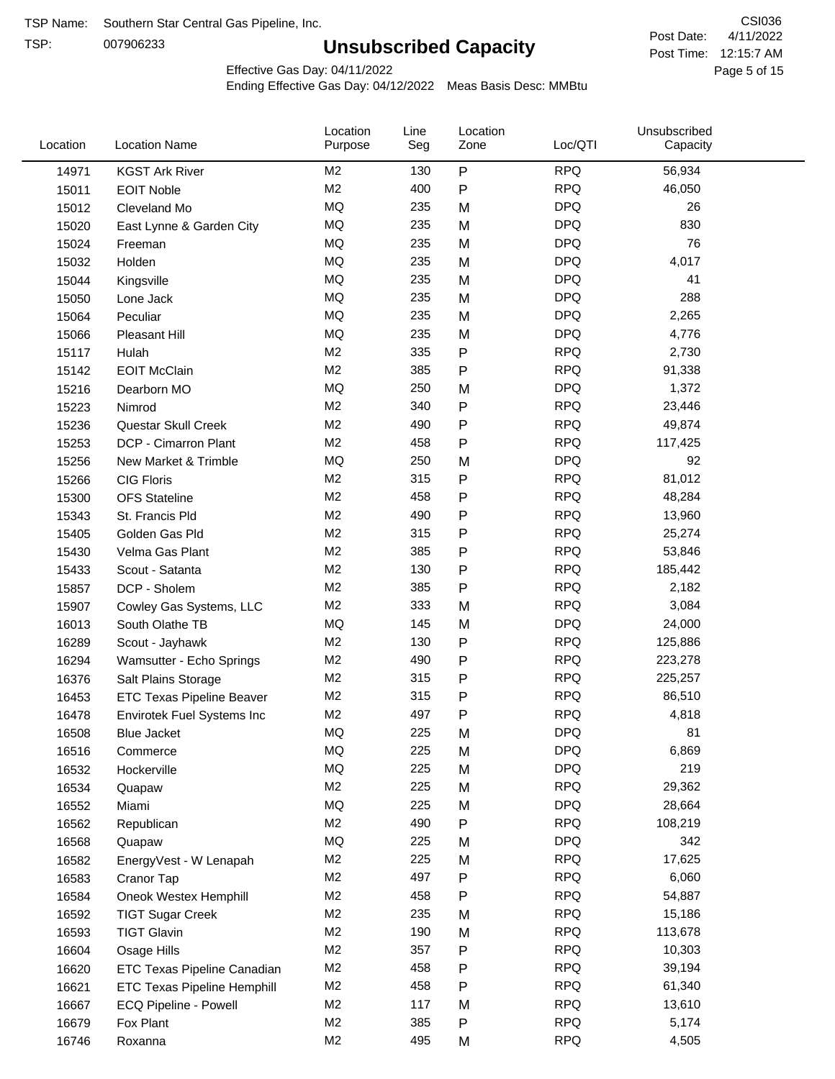TSP:

# **Unsubscribed Capacity**

4/11/2022 Page 5 of 15 Post Time: 12:15:7 AM CSI036 Post Date:

Effective Gas Day: 04/11/2022

| Location | <b>Location Name</b>               | Location<br>Purpose | Line<br>Seg | Location<br>Zone | Loc/QTI    | Unsubscribed<br>Capacity |  |
|----------|------------------------------------|---------------------|-------------|------------------|------------|--------------------------|--|
| 14971    | <b>KGST Ark River</b>              | M <sub>2</sub>      | 130         | $\sf P$          | <b>RPQ</b> | 56,934                   |  |
| 15011    | <b>EOIT Noble</b>                  | M <sub>2</sub>      | 400         | ${\sf P}$        | <b>RPQ</b> | 46,050                   |  |
| 15012    | Cleveland Mo                       | <b>MQ</b>           | 235         | M                | <b>DPQ</b> | 26                       |  |
| 15020    | East Lynne & Garden City           | <b>MQ</b>           | 235         | M                | <b>DPQ</b> | 830                      |  |
| 15024    | Freeman                            | <b>MQ</b>           | 235         | M                | <b>DPQ</b> | 76                       |  |
| 15032    | Holden                             | <b>MQ</b>           | 235         | M                | <b>DPQ</b> | 4,017                    |  |
| 15044    | Kingsville                         | MQ                  | 235         | M                | <b>DPQ</b> | 41                       |  |
| 15050    | Lone Jack                          | <b>MQ</b>           | 235         | M                | <b>DPQ</b> | 288                      |  |
| 15064    | Peculiar                           | <b>MQ</b>           | 235         | M                | <b>DPQ</b> | 2,265                    |  |
| 15066    | Pleasant Hill                      | <b>MQ</b>           | 235         | M                | <b>DPQ</b> | 4,776                    |  |
| 15117    | Hulah                              | M <sub>2</sub>      | 335         | ${\sf P}$        | <b>RPQ</b> | 2,730                    |  |
| 15142    | <b>EOIT McClain</b>                | M <sub>2</sub>      | 385         | ${\sf P}$        | <b>RPQ</b> | 91,338                   |  |
| 15216    | Dearborn MO                        | MQ                  | 250         | M                | <b>DPQ</b> | 1,372                    |  |
| 15223    | Nimrod                             | M <sub>2</sub>      | 340         | ${\sf P}$        | <b>RPQ</b> | 23,446                   |  |
| 15236    | Questar Skull Creek                | M <sub>2</sub>      | 490         | ${\sf P}$        | <b>RPQ</b> | 49,874                   |  |
| 15253    | DCP - Cimarron Plant               | M <sub>2</sub>      | 458         | P                | <b>RPQ</b> | 117,425                  |  |
| 15256    | New Market & Trimble               | <b>MQ</b>           | 250         | M                | <b>DPQ</b> | 92                       |  |
| 15266    | <b>CIG Floris</b>                  | M <sub>2</sub>      | 315         | P                | <b>RPQ</b> | 81,012                   |  |
| 15300    | <b>OFS Stateline</b>               | M <sub>2</sub>      | 458         | ${\sf P}$        | <b>RPQ</b> | 48,284                   |  |
| 15343    | St. Francis Pld                    | M <sub>2</sub>      | 490         | P                | <b>RPQ</b> | 13,960                   |  |
| 15405    | Golden Gas Pld                     | M <sub>2</sub>      | 315         | $\mathsf{P}$     | <b>RPQ</b> | 25,274                   |  |
| 15430    | Velma Gas Plant                    | M <sub>2</sub>      | 385         | $\mathsf{P}$     | <b>RPQ</b> | 53,846                   |  |
| 15433    | Scout - Satanta                    | M <sub>2</sub>      | 130         | ${\sf P}$        | <b>RPQ</b> | 185,442                  |  |
| 15857    | DCP - Sholem                       | M <sub>2</sub>      | 385         | ${\sf P}$        | <b>RPQ</b> | 2,182                    |  |
| 15907    | Cowley Gas Systems, LLC            | M <sub>2</sub>      | 333         | M                | <b>RPQ</b> | 3,084                    |  |
| 16013    | South Olathe TB                    | MQ                  | 145         | M                | <b>DPQ</b> | 24,000                   |  |
| 16289    | Scout - Jayhawk                    | M <sub>2</sub>      | 130         | P                | <b>RPQ</b> | 125,886                  |  |
| 16294    | Wamsutter - Echo Springs           | M <sub>2</sub>      | 490         | ${\sf P}$        | <b>RPQ</b> | 223,278                  |  |
| 16376    | Salt Plains Storage                | M <sub>2</sub>      | 315         | ${\sf P}$        | <b>RPQ</b> | 225,257                  |  |
| 16453    | <b>ETC Texas Pipeline Beaver</b>   | M <sub>2</sub>      | 315         | ${\sf P}$        | <b>RPQ</b> | 86,510                   |  |
| 16478    | Envirotek Fuel Systems Inc         | M <sub>2</sub>      | 497         | P                | <b>RPQ</b> | 4,818                    |  |
| 16508    | Blue Jacket                        | MQ                  | 225         | M                | <b>DPQ</b> | 81                       |  |
| 16516    | Commerce                           | MQ                  | 225         | M                | <b>DPQ</b> | 6,869                    |  |
| 16532    | Hockerville                        | MQ                  | 225         | M                | <b>DPQ</b> | 219                      |  |
| 16534    | Quapaw                             | M <sub>2</sub>      | 225         | M                | <b>RPQ</b> | 29,362                   |  |
| 16552    | Miami                              | MQ                  | 225         | M                | <b>DPQ</b> | 28,664                   |  |
| 16562    | Republican                         | M <sub>2</sub>      | 490         | ${\sf P}$        | <b>RPQ</b> | 108,219                  |  |
| 16568    | Quapaw                             | MQ                  | 225         | M                | <b>DPQ</b> | 342                      |  |
| 16582    | EnergyVest - W Lenapah             | M <sub>2</sub>      | 225         | M                | <b>RPQ</b> | 17,625                   |  |
| 16583    | Cranor Tap                         | M <sub>2</sub>      | 497         | P                | <b>RPQ</b> | 6,060                    |  |
| 16584    | Oneok Westex Hemphill              | M <sub>2</sub>      | 458         | P                | <b>RPQ</b> | 54,887                   |  |
| 16592    | <b>TIGT Sugar Creek</b>            | M <sub>2</sub>      | 235         | M                | <b>RPQ</b> | 15,186                   |  |
| 16593    | <b>TIGT Glavin</b>                 | M <sub>2</sub>      | 190         | M                | <b>RPQ</b> | 113,678                  |  |
| 16604    | Osage Hills                        | M <sub>2</sub>      | 357         | P                | <b>RPQ</b> | 10,303                   |  |
| 16620    | ETC Texas Pipeline Canadian        | M <sub>2</sub>      | 458         | P                | <b>RPQ</b> | 39,194                   |  |
| 16621    | <b>ETC Texas Pipeline Hemphill</b> | M <sub>2</sub>      | 458         | P                | <b>RPQ</b> | 61,340                   |  |
| 16667    | ECQ Pipeline - Powell              | M <sub>2</sub>      | 117         | M                | <b>RPQ</b> | 13,610                   |  |
| 16679    | Fox Plant                          | M <sub>2</sub>      | 385         | P                | <b>RPQ</b> | 5,174                    |  |
| 16746    | Roxanna                            | M <sub>2</sub>      | 495         | M                | <b>RPQ</b> | 4,505                    |  |
|          |                                    |                     |             |                  |            |                          |  |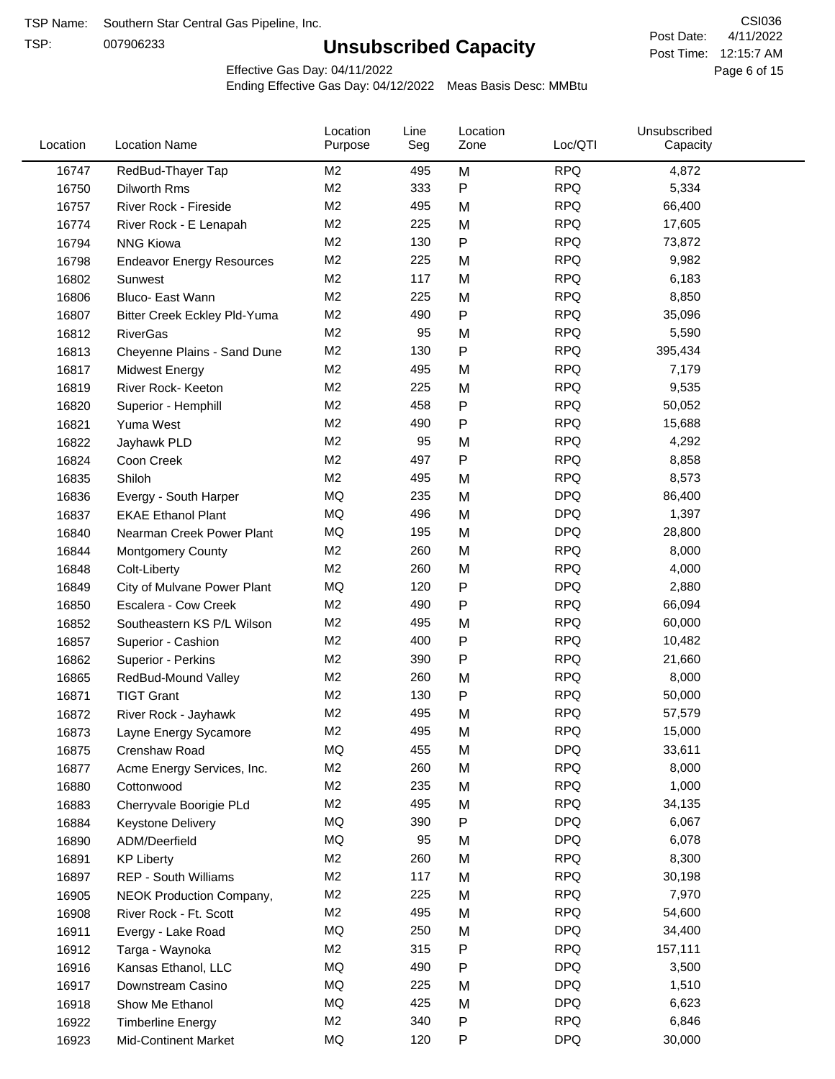TSP:

# **Unsubscribed Capacity**

4/11/2022 Page 6 of 15 Post Time: 12:15:7 AM CSI036 Post Date:

Effective Gas Day: 04/11/2022

| Location | <b>Location Name</b>             | Location<br>Purpose | Line<br>Seg | Location<br>Zone | Loc/QTI    | Unsubscribed<br>Capacity |  |
|----------|----------------------------------|---------------------|-------------|------------------|------------|--------------------------|--|
| 16747    | RedBud-Thayer Tap                | M <sub>2</sub>      | 495         | M                | <b>RPQ</b> | 4,872                    |  |
| 16750    | Dilworth Rms                     | M <sub>2</sub>      | 333         | P                | <b>RPQ</b> | 5,334                    |  |
| 16757    | River Rock - Fireside            | M <sub>2</sub>      | 495         | M                | <b>RPQ</b> | 66,400                   |  |
| 16774    | River Rock - E Lenapah           | M <sub>2</sub>      | 225         | M                | <b>RPQ</b> | 17,605                   |  |
| 16794    | <b>NNG Kiowa</b>                 | M <sub>2</sub>      | 130         | Ρ                | <b>RPQ</b> | 73,872                   |  |
| 16798    | <b>Endeavor Energy Resources</b> | M <sub>2</sub>      | 225         | M                | <b>RPQ</b> | 9,982                    |  |
| 16802    | Sunwest                          | M <sub>2</sub>      | 117         | M                | <b>RPQ</b> | 6,183                    |  |
| 16806    | Bluco- East Wann                 | M <sub>2</sub>      | 225         | M                | <b>RPQ</b> | 8,850                    |  |
| 16807    | Bitter Creek Eckley Pld-Yuma     | M <sub>2</sub>      | 490         | Ρ                | <b>RPQ</b> | 35,096                   |  |
| 16812    | <b>RiverGas</b>                  | M <sub>2</sub>      | 95          | M                | <b>RPQ</b> | 5,590                    |  |
| 16813    | Cheyenne Plains - Sand Dune      | M <sub>2</sub>      | 130         | P                | <b>RPQ</b> | 395,434                  |  |
| 16817    | <b>Midwest Energy</b>            | M <sub>2</sub>      | 495         | M                | <b>RPQ</b> | 7,179                    |  |
| 16819    | River Rock- Keeton               | M <sub>2</sub>      | 225         | M                | <b>RPQ</b> | 9,535                    |  |
| 16820    | Superior - Hemphill              | M <sub>2</sub>      | 458         | Ρ                | <b>RPQ</b> | 50,052                   |  |
| 16821    | Yuma West                        | M <sub>2</sub>      | 490         | P                | <b>RPQ</b> | 15,688                   |  |
| 16822    | Jayhawk PLD                      | M <sub>2</sub>      | 95          | M                | <b>RPQ</b> | 4,292                    |  |
| 16824    | Coon Creek                       | M <sub>2</sub>      | 497         | P                | <b>RPQ</b> | 8,858                    |  |
| 16835    | Shiloh                           | M <sub>2</sub>      | 495         | M                | <b>RPQ</b> | 8,573                    |  |
| 16836    | Evergy - South Harper            | <b>MQ</b>           | 235         | M                | <b>DPQ</b> | 86,400                   |  |
| 16837    | <b>EKAE Ethanol Plant</b>        | MQ                  | 496         | M                | <b>DPQ</b> | 1,397                    |  |
| 16840    | Nearman Creek Power Plant        | MQ                  | 195         | M                | <b>DPQ</b> | 28,800                   |  |
| 16844    | <b>Montgomery County</b>         | M <sub>2</sub>      | 260         | M                | <b>RPQ</b> | 8,000                    |  |
| 16848    | Colt-Liberty                     | M <sub>2</sub>      | 260         | M                | <b>RPQ</b> | 4,000                    |  |
| 16849    | City of Mulvane Power Plant      | MQ                  | 120         | P                | <b>DPQ</b> | 2,880                    |  |
| 16850    | Escalera - Cow Creek             | M <sub>2</sub>      | 490         | Ρ                | <b>RPQ</b> | 66,094                   |  |
| 16852    | Southeastern KS P/L Wilson       | M <sub>2</sub>      | 495         | M                | <b>RPQ</b> | 60,000                   |  |
| 16857    | Superior - Cashion               | M <sub>2</sub>      | 400         | Ρ                | <b>RPQ</b> | 10,482                   |  |
| 16862    | Superior - Perkins               | M <sub>2</sub>      | 390         | Ρ                | <b>RPQ</b> | 21,660                   |  |
| 16865    | RedBud-Mound Valley              | M <sub>2</sub>      | 260         | M                | <b>RPQ</b> | 8,000                    |  |
| 16871    | <b>TIGT Grant</b>                | M <sub>2</sub>      | 130         | Ρ                | <b>RPQ</b> | 50,000                   |  |
| 16872    | River Rock - Jayhawk             | M <sub>2</sub>      | 495         | M                | <b>RPQ</b> | 57,579                   |  |
| 16873    | Layne Energy Sycamore            | M <sub>2</sub>      | 495         | м                | <b>RPQ</b> | 15,000                   |  |
| 16875    | Crenshaw Road                    | MQ                  | 455         | M                | <b>DPQ</b> | 33,611                   |  |
| 16877    | Acme Energy Services, Inc.       | M <sub>2</sub>      | 260         | M                | <b>RPQ</b> | 8,000                    |  |
| 16880    | Cottonwood                       | M <sub>2</sub>      | 235         | M                | <b>RPQ</b> | 1,000                    |  |
| 16883    | Cherryvale Boorigie PLd          | M <sub>2</sub>      | 495         | M                | <b>RPQ</b> | 34,135                   |  |
| 16884    | Keystone Delivery                | MQ                  | 390         | P                | <b>DPQ</b> | 6,067                    |  |
| 16890    | ADM/Deerfield                    | MQ                  | 95          | M                | <b>DPQ</b> | 6,078                    |  |
| 16891    | <b>KP Liberty</b>                | M <sub>2</sub>      | 260         | M                | <b>RPQ</b> | 8,300                    |  |
| 16897    | REP - South Williams             | M <sub>2</sub>      | 117         | M                | <b>RPQ</b> | 30,198                   |  |
| 16905    | <b>NEOK Production Company,</b>  | M <sub>2</sub>      | 225         | M                | <b>RPQ</b> | 7,970                    |  |
| 16908    | River Rock - Ft. Scott           | M <sub>2</sub>      | 495         | M                | <b>RPQ</b> | 54,600                   |  |
| 16911    | Evergy - Lake Road               | MQ                  | 250         | M                | <b>DPQ</b> | 34,400                   |  |
| 16912    | Targa - Waynoka                  | M <sub>2</sub>      | 315         | Ρ                | <b>RPQ</b> | 157,111                  |  |
| 16916    | Kansas Ethanol, LLC              | MQ                  | 490         | Ρ                | <b>DPQ</b> | 3,500                    |  |
| 16917    | Downstream Casino                | MQ                  | 225         | M                | <b>DPQ</b> | 1,510                    |  |
| 16918    | Show Me Ethanol                  | MQ                  | 425         | M                | <b>DPQ</b> | 6,623                    |  |
| 16922    | <b>Timberline Energy</b>         | M <sub>2</sub>      | 340         | Ρ                | <b>RPQ</b> | 6,846                    |  |
| 16923    | <b>Mid-Continent Market</b>      | MQ                  | 120         | P                | <b>DPQ</b> | 30,000                   |  |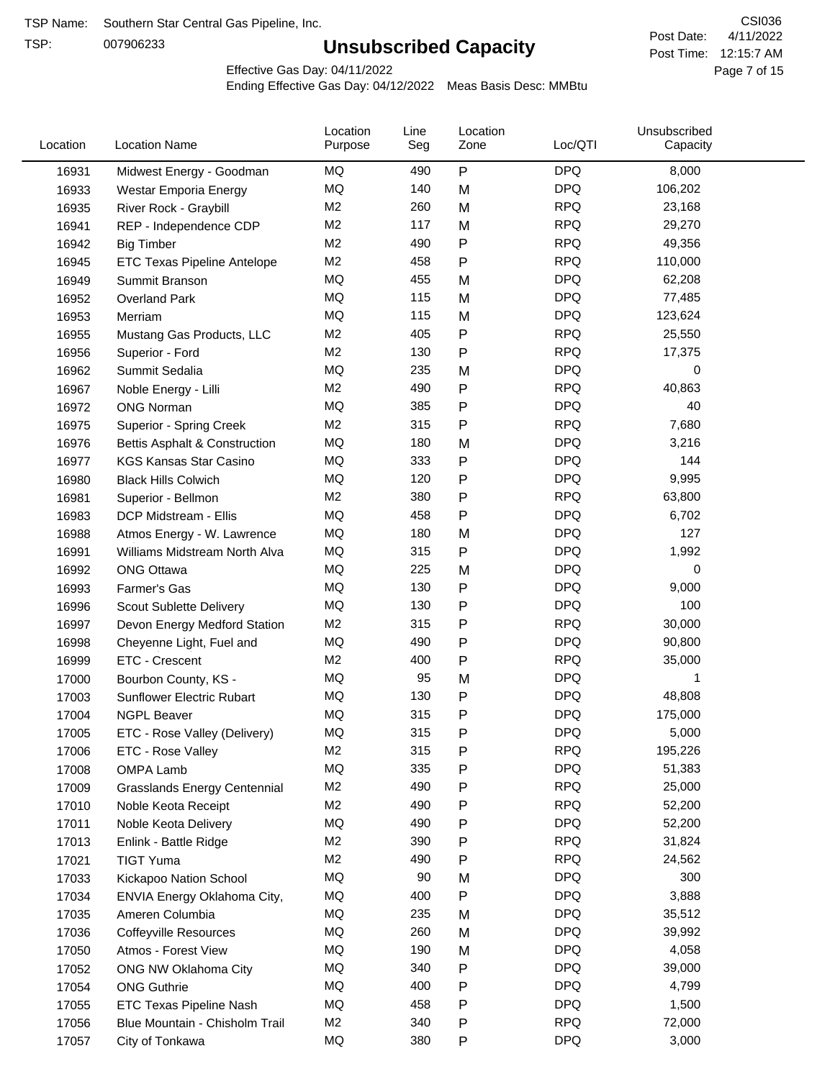TSP:

# **Unsubscribed Capacity**

4/11/2022 Page 7 of 15 Post Time: 12:15:7 AM CSI036 Post Date:

Effective Gas Day: 04/11/2022

| Location | <b>Location Name</b>                      | Location<br>Purpose | Line<br>Seg | Location<br>Zone | Loc/QTI    | Unsubscribed<br>Capacity |  |
|----------|-------------------------------------------|---------------------|-------------|------------------|------------|--------------------------|--|
| 16931    | Midwest Energy - Goodman                  | MQ                  | 490         | P                | <b>DPQ</b> | 8,000                    |  |
| 16933    | Westar Emporia Energy                     | MQ                  | 140         | M                | <b>DPQ</b> | 106,202                  |  |
| 16935    | River Rock - Graybill                     | M <sub>2</sub>      | 260         | M                | <b>RPQ</b> | 23,168                   |  |
| 16941    | REP - Independence CDP                    | M <sub>2</sub>      | 117         | M                | <b>RPQ</b> | 29,270                   |  |
| 16942    | <b>Big Timber</b>                         | M <sub>2</sub>      | 490         | Ρ                | <b>RPQ</b> | 49,356                   |  |
| 16945    | ETC Texas Pipeline Antelope               | M <sub>2</sub>      | 458         | Ρ                | <b>RPQ</b> | 110,000                  |  |
| 16949    | Summit Branson                            | MQ                  | 455         | M                | <b>DPQ</b> | 62,208                   |  |
| 16952    | Overland Park                             | <b>MQ</b>           | 115         | M                | <b>DPQ</b> | 77,485                   |  |
| 16953    | Merriam                                   | MQ                  | 115         | M                | <b>DPQ</b> | 123,624                  |  |
| 16955    | Mustang Gas Products, LLC                 | M <sub>2</sub>      | 405         | P                | <b>RPQ</b> | 25,550                   |  |
| 16956    | Superior - Ford                           | M <sub>2</sub>      | 130         | Ρ                | <b>RPQ</b> | 17,375                   |  |
| 16962    | Summit Sedalia                            | MQ                  | 235         | M                | <b>DPQ</b> | 0                        |  |
| 16967    | Noble Energy - Lilli                      | M <sub>2</sub>      | 490         | P                | <b>RPQ</b> | 40,863                   |  |
| 16972    | <b>ONG Norman</b>                         | MQ                  | 385         | Ρ                | <b>DPQ</b> | 40                       |  |
| 16975    | Superior - Spring Creek                   | M <sub>2</sub>      | 315         | Ρ                | <b>RPQ</b> | 7,680                    |  |
| 16976    | <b>Bettis Asphalt &amp; Construction</b>  | MQ                  | 180         | M                | <b>DPQ</b> | 3,216                    |  |
| 16977    | <b>KGS Kansas Star Casino</b>             | MQ                  | 333         | P                | <b>DPQ</b> | 144                      |  |
| 16980    | <b>Black Hills Colwich</b>                | MQ                  | 120         | Ρ                | <b>DPQ</b> | 9,995                    |  |
| 16981    | Superior - Bellmon                        | M <sub>2</sub>      | 380         | P                | <b>RPQ</b> | 63,800                   |  |
| 16983    | DCP Midstream - Ellis                     | MQ                  | 458         | Ρ                | <b>DPQ</b> | 6,702                    |  |
| 16988    | Atmos Energy - W. Lawrence                | MQ                  | 180         | M                | <b>DPQ</b> | 127                      |  |
| 16991    | Williams Midstream North Alva             | <b>MQ</b>           | 315         | P                | <b>DPQ</b> | 1,992                    |  |
| 16992    | <b>ONG Ottawa</b>                         | MQ                  | 225         | M                | <b>DPQ</b> | 0                        |  |
| 16993    | Farmer's Gas                              | MQ                  | 130         | P                | <b>DPQ</b> | 9,000                    |  |
| 16996    | Scout Sublette Delivery                   | MQ                  | 130         | Ρ                | <b>DPQ</b> | 100                      |  |
| 16997    | Devon Energy Medford Station              | M <sub>2</sub>      | 315         | Ρ                | <b>RPQ</b> | 30,000                   |  |
| 16998    | Cheyenne Light, Fuel and                  | MQ                  | 490         | Ρ                | <b>DPQ</b> | 90,800                   |  |
| 16999    | ETC - Crescent                            | M <sub>2</sub>      | 400         | P                | <b>RPQ</b> | 35,000                   |  |
| 17000    | Bourbon County, KS -                      | MQ                  | 95          | M                | <b>DPQ</b> | 1                        |  |
| 17003    | <b>Sunflower Electric Rubart</b>          | MQ                  | 130         | Ρ                | <b>DPQ</b> | 48,808                   |  |
| 17004    | <b>NGPL Beaver</b>                        | <b>MQ</b>           | 315         | P                | <b>DPQ</b> | 175,000                  |  |
| 17005    | ETC - Rose Valley (Delivery)              | MQ                  | 315         | P                | <b>DPQ</b> | 5,000                    |  |
| 17006    | ETC - Rose Valley                         | M2                  | 315         | Ρ                | <b>RPQ</b> | 195,226                  |  |
| 17008    | OMPA Lamb                                 | MQ                  | 335         | P                | <b>DPQ</b> | 51,383                   |  |
| 17009    | <b>Grasslands Energy Centennial</b>       | M <sub>2</sub>      | 490         | Ρ                | <b>RPQ</b> | 25,000                   |  |
| 17010    | Noble Keota Receipt                       | M2                  | 490         | Ρ                | <b>RPQ</b> | 52,200                   |  |
| 17011    | Noble Keota Delivery                      | MQ                  | 490         | Ρ                | <b>DPQ</b> | 52,200                   |  |
| 17013    |                                           | M <sub>2</sub>      | 390         | Ρ                | <b>RPQ</b> | 31,824                   |  |
| 17021    | Enlink - Battle Ridge<br><b>TIGT Yuma</b> | M <sub>2</sub>      | 490         | Ρ                | <b>RPQ</b> | 24,562                   |  |
| 17033    |                                           | MQ                  | 90          | M                | <b>DPQ</b> | 300                      |  |
| 17034    | Kickapoo Nation School                    | MQ                  | 400         | P                | <b>DPQ</b> | 3,888                    |  |
|          | ENVIA Energy Oklahoma City,               | MQ                  |             |                  | <b>DPQ</b> |                          |  |
| 17035    | Ameren Columbia                           | MQ                  | 235<br>260  | M                | <b>DPQ</b> | 35,512<br>39,992         |  |
| 17036    | <b>Coffeyville Resources</b>              | MQ                  |             | M                | <b>DPQ</b> |                          |  |
| 17050    | Atmos - Forest View                       | MQ                  | 190<br>340  | M                | <b>DPQ</b> | 4,058<br>39,000          |  |
| 17052    | ONG NW Oklahoma City                      |                     |             | P                |            |                          |  |
| 17054    | <b>ONG Guthrie</b>                        | MQ                  | 400         | Ρ                | <b>DPQ</b> | 4,799                    |  |
| 17055    | ETC Texas Pipeline Nash                   | MQ                  | 458         | Ρ                | <b>DPQ</b> | 1,500                    |  |
| 17056    | Blue Mountain - Chisholm Trail            | M <sub>2</sub>      | 340         | P                | <b>RPQ</b> | 72,000                   |  |
| 17057    | City of Tonkawa                           | MQ                  | 380         | P                | <b>DPQ</b> | 3,000                    |  |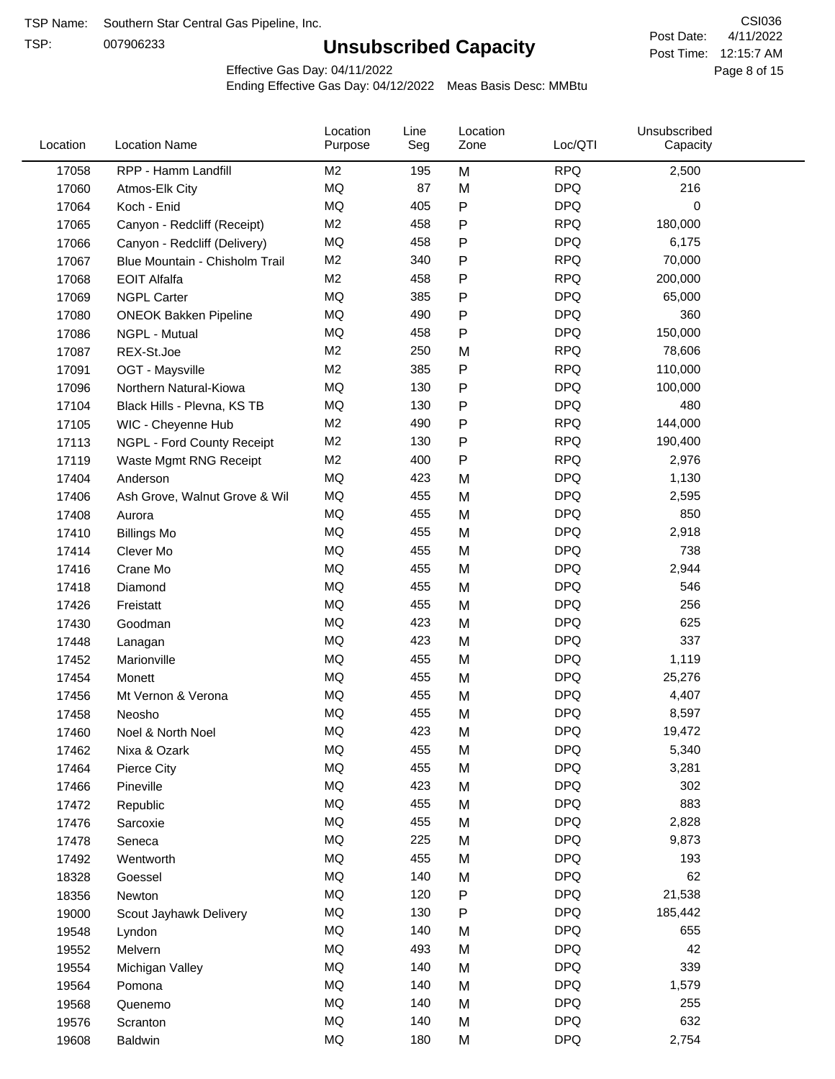TSP:

# **Unsubscribed Capacity**

4/11/2022 Page 8 of 15 Post Time: 12:15:7 AM CSI036 Post Date:

Effective Gas Day: 04/11/2022

| Location | <b>Location Name</b>           | Location<br>Purpose | Line<br>Seg | Location<br>Zone | Loc/QTI    | Unsubscribed<br>Capacity |  |
|----------|--------------------------------|---------------------|-------------|------------------|------------|--------------------------|--|
| 17058    | RPP - Hamm Landfill            | M <sub>2</sub>      | 195         | M                | <b>RPQ</b> | 2,500                    |  |
| 17060    | Atmos-Elk City                 | MQ                  | 87          | M                | <b>DPQ</b> | 216                      |  |
| 17064    | Koch - Enid                    | MQ                  | 405         | P                | <b>DPQ</b> | 0                        |  |
| 17065    | Canyon - Redcliff (Receipt)    | M <sub>2</sub>      | 458         | Ρ                | <b>RPQ</b> | 180,000                  |  |
| 17066    | Canyon - Redcliff (Delivery)   | MQ                  | 458         | Ρ                | <b>DPQ</b> | 6,175                    |  |
| 17067    | Blue Mountain - Chisholm Trail | M <sub>2</sub>      | 340         | Ρ                | <b>RPQ</b> | 70,000                   |  |
| 17068    | <b>EOIT Alfalfa</b>            | M <sub>2</sub>      | 458         | Ρ                | <b>RPQ</b> | 200,000                  |  |
| 17069    | <b>NGPL Carter</b>             | MQ                  | 385         | Ρ                | <b>DPQ</b> | 65,000                   |  |
| 17080    | <b>ONEOK Bakken Pipeline</b>   | MQ                  | 490         | Ρ                | <b>DPQ</b> | 360                      |  |
| 17086    | NGPL - Mutual                  | MQ                  | 458         | P                | <b>DPQ</b> | 150,000                  |  |
| 17087    | REX-St.Joe                     | M <sub>2</sub>      | 250         | M                | <b>RPQ</b> | 78,606                   |  |
| 17091    | OGT - Maysville                | M <sub>2</sub>      | 385         | P                | <b>RPQ</b> | 110,000                  |  |
| 17096    | Northern Natural-Kiowa         | MQ                  | 130         | Ρ                | <b>DPQ</b> | 100,000                  |  |
| 17104    | Black Hills - Plevna, KS TB    | MQ                  | 130         | Ρ                | <b>DPQ</b> | 480                      |  |
| 17105    | WIC - Cheyenne Hub             | M <sub>2</sub>      | 490         | Ρ                | <b>RPQ</b> | 144,000                  |  |
| 17113    | NGPL - Ford County Receipt     | M <sub>2</sub>      | 130         | Ρ                | <b>RPQ</b> | 190,400                  |  |
| 17119    | Waste Mgmt RNG Receipt         | M <sub>2</sub>      | 400         | P                | <b>RPQ</b> | 2,976                    |  |
| 17404    | Anderson                       | MQ                  | 423         | M                | <b>DPQ</b> | 1,130                    |  |
| 17406    | Ash Grove, Walnut Grove & Wil  | MQ                  | 455         | M                | <b>DPQ</b> | 2,595                    |  |
| 17408    | Aurora                         | MQ                  | 455         | M                | <b>DPQ</b> | 850                      |  |
| 17410    | <b>Billings Mo</b>             | MQ                  | 455         | M                | <b>DPQ</b> | 2,918                    |  |
| 17414    | Clever Mo                      | MQ                  | 455         | M                | <b>DPQ</b> | 738                      |  |
| 17416    | Crane Mo                       | MQ                  | 455         | M                | <b>DPQ</b> | 2,944                    |  |
| 17418    | Diamond                        | MQ                  | 455         | M                | <b>DPQ</b> | 546                      |  |
| 17426    | Freistatt                      | MQ                  | 455         | M                | <b>DPQ</b> | 256                      |  |
| 17430    | Goodman                        | MQ                  | 423         | M                | <b>DPQ</b> | 625                      |  |
| 17448    | Lanagan                        | MQ                  | 423         | M                | <b>DPQ</b> | 337                      |  |
| 17452    | Marionville                    | MQ                  | 455         | M                | <b>DPQ</b> | 1,119                    |  |
| 17454    | Monett                         | MQ                  | 455         | M                | <b>DPQ</b> | 25,276                   |  |
| 17456    | Mt Vernon & Verona             | MQ                  | 455         | M                | <b>DPQ</b> | 4,407                    |  |
| 17458    | Neosho                         | MQ                  | 455         | M                | <b>DPQ</b> | 8,597                    |  |
| 17460    | Noel & North Noel              | MQ                  | 423         | M                | <b>DPQ</b> | 19,472                   |  |
| 17462    | Nixa & Ozark                   | MQ                  | 455         | M                | <b>DPQ</b> | 5,340                    |  |
| 17464    | Pierce City                    | MQ                  | 455         | M                | <b>DPQ</b> | 3,281                    |  |
| 17466    | Pineville                      | MQ                  | 423         | M                | <b>DPQ</b> | 302                      |  |
| 17472    | Republic                       | MQ                  | 455         | M                | <b>DPQ</b> | 883                      |  |
| 17476    | Sarcoxie                       | MQ                  | 455         | M                | <b>DPQ</b> | 2,828                    |  |
| 17478    | Seneca                         | MQ                  | 225         | M                | <b>DPQ</b> | 9,873                    |  |
| 17492    | Wentworth                      | MQ                  | 455         | M                | <b>DPQ</b> | 193                      |  |
| 18328    | Goessel                        | MQ                  | 140         | M                | <b>DPQ</b> | 62                       |  |
| 18356    | Newton                         | MQ                  | 120         | Ρ                | <b>DPQ</b> | 21,538                   |  |
| 19000    | Scout Jayhawk Delivery         | MQ                  | 130         | Ρ                | <b>DPQ</b> | 185,442                  |  |
| 19548    | Lyndon                         | MQ                  | 140         | M                | <b>DPQ</b> | 655                      |  |
| 19552    | Melvern                        | MQ                  | 493         | M                | <b>DPQ</b> | 42                       |  |
| 19554    | Michigan Valley                | MQ                  | 140         | M                | <b>DPQ</b> | 339                      |  |
| 19564    | Pomona                         | MQ                  | 140         | M                | <b>DPQ</b> | 1,579                    |  |
| 19568    | Quenemo                        | MQ                  | 140         | M                | <b>DPQ</b> | 255                      |  |
| 19576    | Scranton                       | MQ                  | 140         | M                | <b>DPQ</b> | 632                      |  |
| 19608    | Baldwin                        | MQ                  | 180         | M                | <b>DPQ</b> | 2,754                    |  |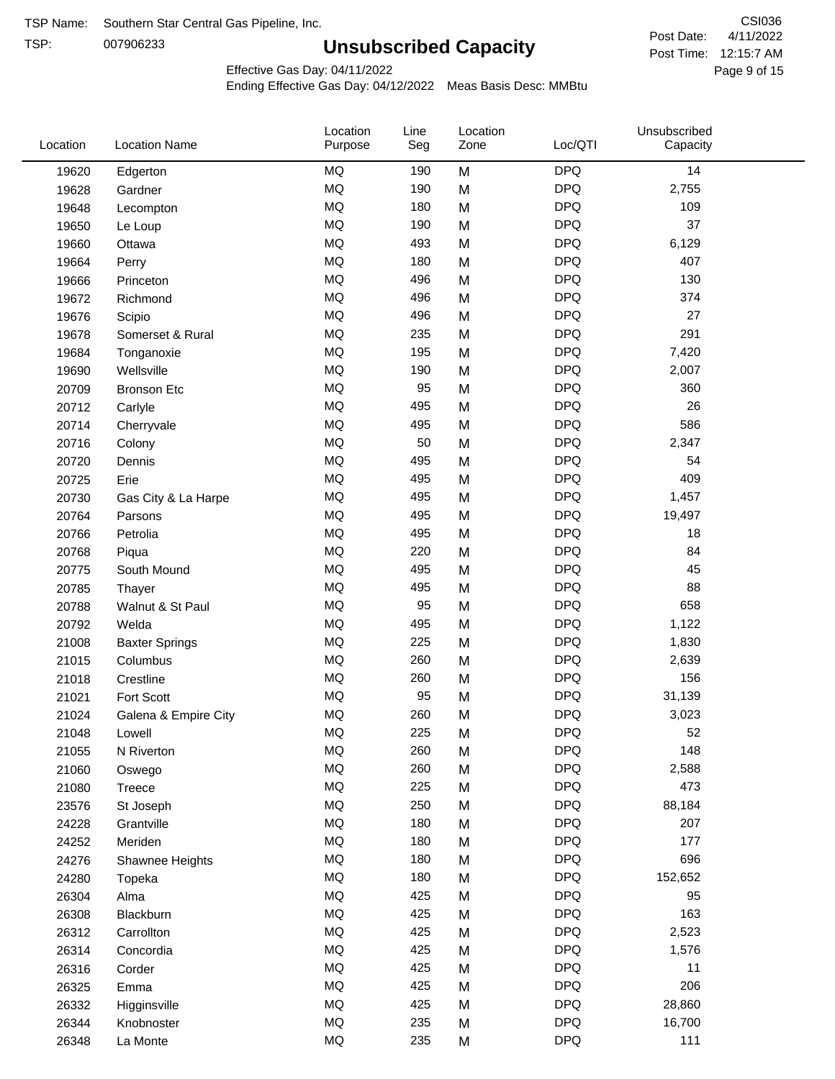TSP:

# **Unsubscribed Capacity**

4/11/2022 Page 9 of 15 Post Time: 12:15:7 AM CSI036 Post Date:

Unsubscribed

Effective Gas Day: 04/11/2022

Location

Ending Effective Gas Day: 04/12/2022 Meas Basis Desc: MMBtu

Line

Location

| Location | <b>Location Name</b>  | Purpose   | Seg | Zone | Loc/QTI    | Capacity |  |
|----------|-----------------------|-----------|-----|------|------------|----------|--|
| 19620    | Edgerton              | <b>MQ</b> | 190 | M    | <b>DPQ</b> | 14       |  |
| 19628    | Gardner               | <b>MQ</b> | 190 | M    | <b>DPQ</b> | 2,755    |  |
| 19648    | Lecompton             | <b>MQ</b> | 180 | M    | <b>DPQ</b> | 109      |  |
| 19650    | Le Loup               | <b>MQ</b> | 190 | M    | <b>DPQ</b> | 37       |  |
| 19660    | Ottawa                | <b>MQ</b> | 493 | M    | <b>DPQ</b> | 6,129    |  |
| 19664    | Perry                 | <b>MQ</b> | 180 | M    | <b>DPQ</b> | 407      |  |
| 19666    | Princeton             | <b>MQ</b> | 496 | M    | <b>DPQ</b> | 130      |  |
| 19672    | Richmond              | <b>MQ</b> | 496 | M    | <b>DPQ</b> | 374      |  |
| 19676    | Scipio                | <b>MQ</b> | 496 | M    | <b>DPQ</b> | 27       |  |
| 19678    | Somerset & Rural      | <b>MQ</b> | 235 | M    | <b>DPQ</b> | 291      |  |
| 19684    | Tonganoxie            | <b>MQ</b> | 195 | M    | <b>DPQ</b> | 7,420    |  |
| 19690    | Wellsville            | <b>MQ</b> | 190 | M    | <b>DPQ</b> | 2,007    |  |
| 20709    | <b>Bronson Etc</b>    | <b>MQ</b> | 95  | M    | <b>DPQ</b> | 360      |  |
| 20712    | Carlyle               | <b>MQ</b> | 495 | M    | <b>DPQ</b> | 26       |  |
| 20714    | Cherryvale            | <b>MQ</b> | 495 | M    | <b>DPQ</b> | 586      |  |
| 20716    | Colony                | <b>MQ</b> | 50  | M    | <b>DPQ</b> | 2,347    |  |
| 20720    | Dennis                | <b>MQ</b> | 495 | M    | <b>DPQ</b> | 54       |  |
| 20725    | Erie                  | <b>MQ</b> | 495 | M    | <b>DPQ</b> | 409      |  |
| 20730    | Gas City & La Harpe   | <b>MQ</b> | 495 | M    | <b>DPQ</b> | 1,457    |  |
| 20764    | Parsons               | <b>MQ</b> | 495 | M    | <b>DPQ</b> | 19,497   |  |
| 20766    | Petrolia              | <b>MQ</b> | 495 | M    | <b>DPQ</b> | 18       |  |
| 20768    | Piqua                 | <b>MQ</b> | 220 | M    | <b>DPQ</b> | 84       |  |
| 20775    | South Mound           | <b>MQ</b> | 495 | M    | <b>DPQ</b> | 45       |  |
| 20785    | Thayer                | <b>MQ</b> | 495 | M    | <b>DPQ</b> | 88       |  |
| 20788    | Walnut & St Paul      | <b>MQ</b> | 95  | M    | <b>DPQ</b> | 658      |  |
| 20792    | Welda                 | <b>MQ</b> | 495 | M    | <b>DPQ</b> | 1,122    |  |
| 21008    | <b>Baxter Springs</b> | <b>MQ</b> | 225 | M    | <b>DPQ</b> | 1,830    |  |
| 21015    | Columbus              | <b>MQ</b> | 260 | M    | <b>DPQ</b> | 2,639    |  |
| 21018    | Crestline             | <b>MQ</b> | 260 | M    | <b>DPQ</b> | 156      |  |
| 21021    | Fort Scott            | <b>MQ</b> | 95  | M    | <b>DPQ</b> | 31,139   |  |
| 21024    | Galena & Empire City  | <b>MQ</b> | 260 | M    | <b>DPQ</b> | 3,023    |  |
| 21048    | Lowell                | <b>MQ</b> | 225 | M    | <b>DPQ</b> | 52       |  |
| 21055    | N Riverton            | <b>MQ</b> | 260 | M    | <b>DPQ</b> | 148      |  |
| 21060    | Oswego                | MQ        | 260 | M    | <b>DPQ</b> | 2,588    |  |
| 21080    | Treece                | <b>MQ</b> | 225 | M    | <b>DPQ</b> | 473      |  |
| 23576    | St Joseph             | <b>MQ</b> | 250 | M    | <b>DPQ</b> | 88,184   |  |
| 24228    | Grantville            | <b>MQ</b> | 180 | M    | <b>DPQ</b> | 207      |  |
| 24252    | Meriden               | <b>MQ</b> | 180 | M    | <b>DPQ</b> | 177      |  |
| 24276    | Shawnee Heights       | <b>MQ</b> | 180 | M    | <b>DPQ</b> | 696      |  |
| 24280    | Topeka                | <b>MQ</b> | 180 | M    | <b>DPQ</b> | 152,652  |  |
| 26304    | Alma                  | MQ        | 425 | M    | <b>DPQ</b> | 95       |  |
| 26308    | Blackburn             | MQ        | 425 | M    | <b>DPQ</b> | 163      |  |
| 26312    | Carrollton            | <b>MQ</b> | 425 | M    | <b>DPQ</b> | 2,523    |  |
| 26314    | Concordia             | <b>MQ</b> | 425 | M    | <b>DPQ</b> | 1,576    |  |
| 26316    | Corder                | MQ        | 425 | M    | <b>DPQ</b> | 11       |  |
| 26325    | Emma                  | <b>MQ</b> | 425 | M    | <b>DPQ</b> | 206      |  |
| 26332    | Higginsville          | <b>MQ</b> | 425 | M    | <b>DPQ</b> | 28,860   |  |
| 26344    | Knobnoster            | <b>MQ</b> | 235 | M    | <b>DPQ</b> | 16,700   |  |
| 26348    | La Monte              | $\sf{MQ}$ | 235 | M    | <b>DPQ</b> | 111      |  |
|          |                       |           |     |      |            |          |  |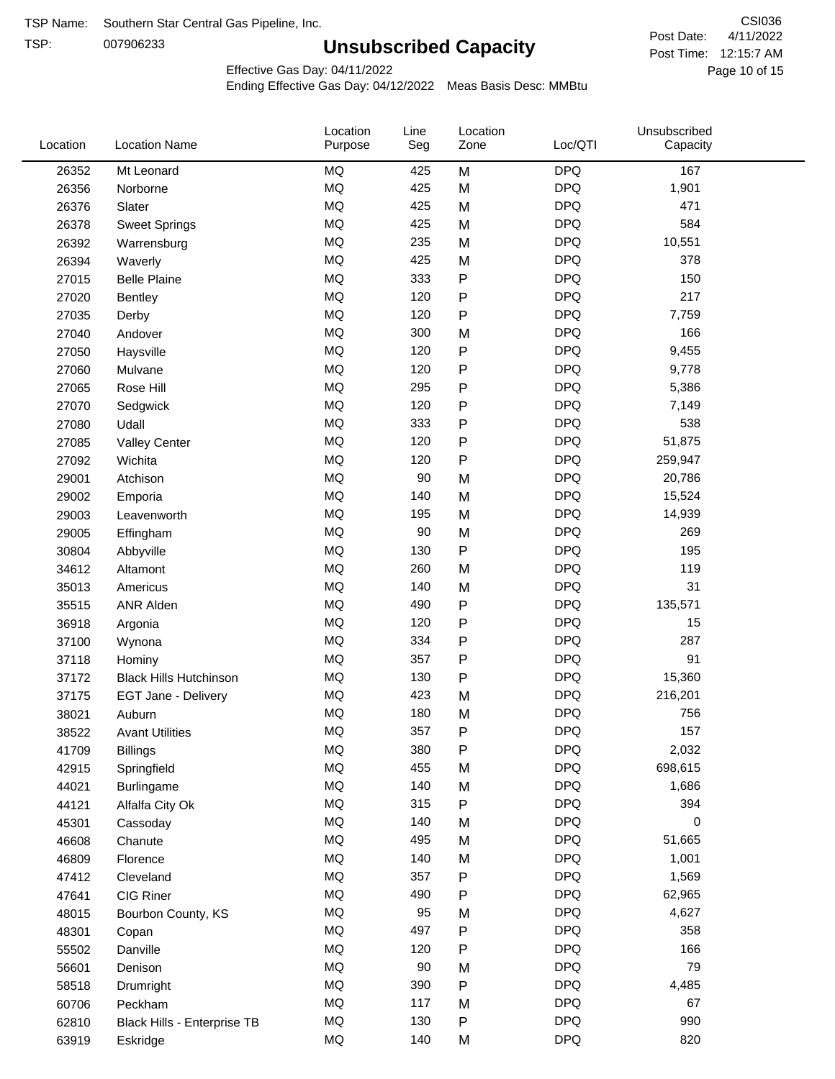TSP:

# **Unsubscribed Capacity**

4/11/2022 Page 10 of 15 Post Time: 12:15:7 AM CSI036 Post Date:

Unsubscribed

Effective Gas Day: 04/11/2022

Location

Ending Effective Gas Day: 04/12/2022 Meas Basis Desc: MMBtu

Line

Location

| Location | <b>Location Name</b>          | Purpose   | Seg    | Zone         | Loc/QTI    | Capacity |  |
|----------|-------------------------------|-----------|--------|--------------|------------|----------|--|
| 26352    | Mt Leonard                    | MQ        | 425    | M            | <b>DPQ</b> | 167      |  |
| 26356    | Norborne                      | MQ        | 425    | M            | <b>DPQ</b> | 1,901    |  |
| 26376    | Slater                        | <b>MQ</b> | 425    | M            | <b>DPQ</b> | 471      |  |
| 26378    | <b>Sweet Springs</b>          | <b>MQ</b> | 425    | M            | <b>DPQ</b> | 584      |  |
| 26392    | Warrensburg                   | <b>MQ</b> | 235    | M            | <b>DPQ</b> | 10,551   |  |
| 26394    | Waverly                       | <b>MQ</b> | 425    | M            | <b>DPQ</b> | 378      |  |
| 27015    | <b>Belle Plaine</b>           | MQ        | 333    | P            | <b>DPQ</b> | 150      |  |
| 27020    | <b>Bentley</b>                | MQ        | 120    | P            | <b>DPQ</b> | 217      |  |
| 27035    | Derby                         | MQ        | 120    | P            | <b>DPQ</b> | 7,759    |  |
| 27040    | Andover                       | MQ        | 300    | M            | <b>DPQ</b> | 166      |  |
| 27050    | Haysville                     | <b>MQ</b> | 120    | P            | <b>DPQ</b> | 9,455    |  |
| 27060    | Mulvane                       | <b>MQ</b> | 120    | P            | <b>DPQ</b> | 9,778    |  |
| 27065    | Rose Hill                     | <b>MQ</b> | 295    | P            | <b>DPQ</b> | 5,386    |  |
| 27070    | Sedgwick                      | MQ        | 120    | Ρ            | <b>DPQ</b> | 7,149    |  |
| 27080    | Udall                         | MQ        | 333    | P            | <b>DPQ</b> | 538      |  |
| 27085    | <b>Valley Center</b>          | MQ        | 120    | P            | <b>DPQ</b> | 51,875   |  |
| 27092    | Wichita                       | MQ        | 120    | $\mathsf{P}$ | <b>DPQ</b> | 259,947  |  |
| 29001    | Atchison                      | MQ        | 90     | M            | <b>DPQ</b> | 20,786   |  |
| 29002    | Emporia                       | MQ        | 140    | M            | <b>DPQ</b> | 15,524   |  |
| 29003    | Leavenworth                   | <b>MQ</b> | 195    | M            | <b>DPQ</b> | 14,939   |  |
| 29005    | Effingham                     | MQ        | 90     | M            | <b>DPQ</b> | 269      |  |
| 30804    | Abbyville                     | <b>MQ</b> | 130    | P            | <b>DPQ</b> | 195      |  |
| 34612    | Altamont                      | <b>MQ</b> | 260    | M            | <b>DPQ</b> | 119      |  |
| 35013    | Americus                      | <b>MQ</b> | 140    | M            | <b>DPQ</b> | 31       |  |
| 35515    | <b>ANR Alden</b>              | MQ        | 490    | P            | <b>DPQ</b> | 135,571  |  |
| 36918    | Argonia                       | MQ        | 120    | P            | <b>DPQ</b> | 15       |  |
| 37100    | Wynona                        | <b>MQ</b> | 334    | P            | <b>DPQ</b> | 287      |  |
| 37118    | Hominy                        | MQ        | 357    | Ρ            | <b>DPQ</b> | 91       |  |
| 37172    | <b>Black Hills Hutchinson</b> | MQ        | 130    | P            | <b>DPQ</b> | 15,360   |  |
| 37175    | EGT Jane - Delivery           | MQ        | 423    | M            | <b>DPQ</b> | 216,201  |  |
| 38021    | Auburn                        | <b>MQ</b> | 180    | M            | <b>DPQ</b> | 756      |  |
| 38522    | <b>Avant Utilities</b>        | <b>MQ</b> | 357    | P            | <b>DPQ</b> | 157      |  |
| 41709    | <b>Billings</b>               | MQ        | 380    | Ρ            | <b>DPQ</b> | 2,032    |  |
| 42915    | Springfield                   | MQ        | 455    | M            | <b>DPQ</b> | 698,615  |  |
| 44021    | <b>Burlingame</b>             | $\sf{MQ}$ | 140    | M            | <b>DPQ</b> | 1,686    |  |
| 44121    | Alfalfa City Ok               | <b>MQ</b> | 315    | P            | <b>DPQ</b> | 394      |  |
| 45301    | Cassoday                      | MQ        | 140    | M            | <b>DPQ</b> | 0        |  |
| 46608    | Chanute                       | MQ        | 495    | M            | <b>DPQ</b> | 51,665   |  |
| 46809    | Florence                      | MQ        | 140    | M            | <b>DPQ</b> | 1,001    |  |
| 47412    | Cleveland                     | MQ        | 357    | P            | <b>DPQ</b> | 1,569    |  |
| 47641    | CIG Riner                     | MQ        | 490    | Ρ            | <b>DPQ</b> | 62,965   |  |
| 48015    | Bourbon County, KS            | MQ        | 95     | M            | <b>DPQ</b> | 4,627    |  |
| 48301    | Copan                         | MQ        | 497    | P            | <b>DPQ</b> | 358      |  |
| 55502    | Danville                      | $\sf{MQ}$ | 120    | Ρ            | <b>DPQ</b> | 166      |  |
| 56601    | Denison                       | <b>MQ</b> | $90\,$ | M            | <b>DPQ</b> | 79       |  |
| 58518    | Drumright                     | MQ        | 390    | Ρ            | <b>DPQ</b> | 4,485    |  |
| 60706    | Peckham                       | MQ        | 117    | M            | <b>DPQ</b> | 67       |  |
| 62810    | Black Hills - Enterprise TB   | MQ        | 130    | P            | <b>DPQ</b> | 990      |  |
| 63919    | Eskridge                      | $\sf{MQ}$ | 140    | M            | <b>DPQ</b> | 820      |  |
|          |                               |           |        |              |            |          |  |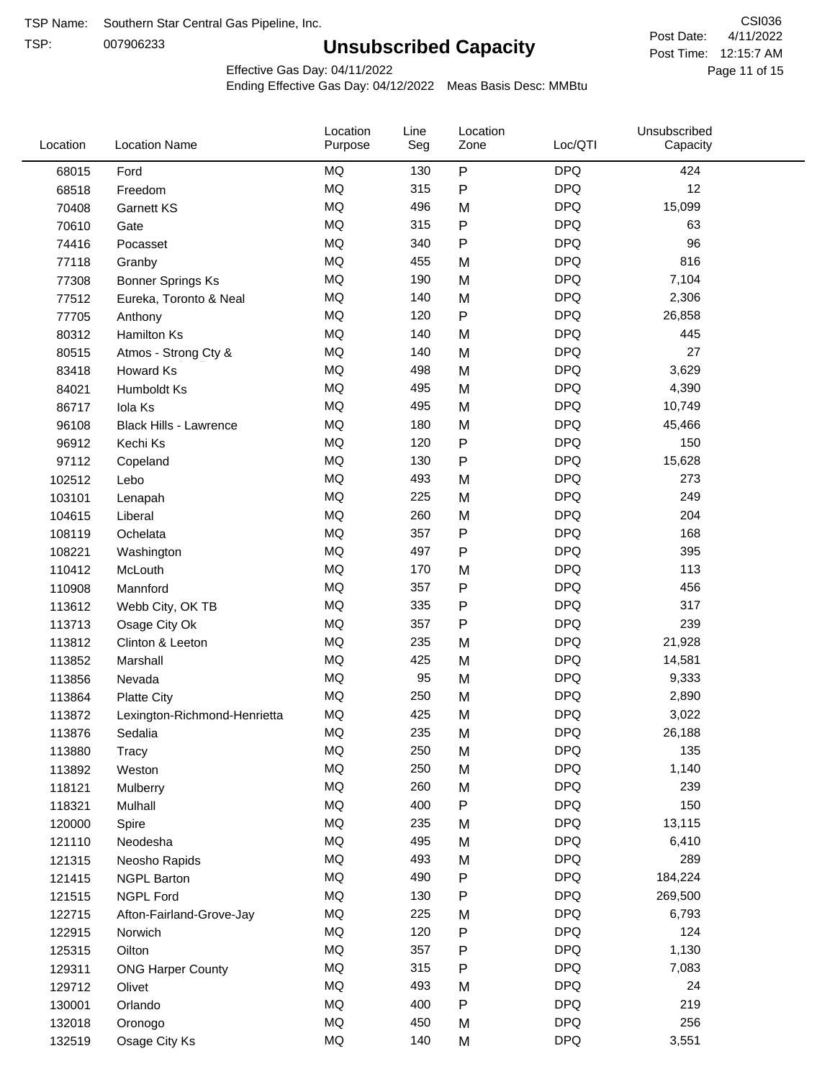TSP:

# **Unsubscribed Capacity**

4/11/2022 Page 11 of 15 Post Time: 12:15:7 AM CSI036 Post Date:

Unsubscribed

Effective Gas Day: 04/11/2022

Location

Ending Effective Gas Day: 04/12/2022 Meas Basis Desc: MMBtu

Line

Location

| Location | <b>Location Name</b>          | Purpose   | Seg | Zone      | Loc/QTI    | Capacity |  |
|----------|-------------------------------|-----------|-----|-----------|------------|----------|--|
| 68015    | Ford                          | <b>MQ</b> | 130 | P         | <b>DPQ</b> | 424      |  |
| 68518    | Freedom                       | MQ        | 315 | ${\sf P}$ | <b>DPQ</b> | 12       |  |
| 70408    | Garnett KS                    | MQ        | 496 | M         | <b>DPQ</b> | 15,099   |  |
| 70610    | Gate                          | <b>MQ</b> | 315 | P         | <b>DPQ</b> | 63       |  |
| 74416    | Pocasset                      | <b>MQ</b> | 340 | P         | <b>DPQ</b> | 96       |  |
| 77118    | Granby                        | <b>MQ</b> | 455 | M         | <b>DPQ</b> | 816      |  |
| 77308    | <b>Bonner Springs Ks</b>      | MQ        | 190 | M         | <b>DPQ</b> | 7,104    |  |
| 77512    | Eureka, Toronto & Neal        | MQ        | 140 | M         | <b>DPQ</b> | 2,306    |  |
| 77705    | Anthony                       | <b>MQ</b> | 120 | ${\sf P}$ | <b>DPQ</b> | 26,858   |  |
| 80312    | Hamilton Ks                   | MQ        | 140 | M         | <b>DPQ</b> | 445      |  |
| 80515    | Atmos - Strong Cty &          | MQ        | 140 | M         | <b>DPQ</b> | 27       |  |
| 83418    | Howard Ks                     | MQ        | 498 | M         | <b>DPQ</b> | 3,629    |  |
| 84021    | Humboldt Ks                   | <b>MQ</b> | 495 | M         | <b>DPQ</b> | 4,390    |  |
| 86717    | Iola Ks                       | <b>MQ</b> | 495 | M         | <b>DPQ</b> | 10,749   |  |
| 96108    | <b>Black Hills - Lawrence</b> | MQ        | 180 | M         | <b>DPQ</b> | 45,466   |  |
| 96912    | Kechi Ks                      | MQ        | 120 | ${\sf P}$ | <b>DPQ</b> | 150      |  |
| 97112    | Copeland                      | MQ        | 130 | P         | <b>DPQ</b> | 15,628   |  |
| 102512   | Lebo                          | MQ        | 493 | M         | <b>DPQ</b> | 273      |  |
| 103101   | Lenapah                       | MQ        | 225 | M         | <b>DPQ</b> | 249      |  |
| 104615   | Liberal                       | MQ        | 260 | M         | <b>DPQ</b> | 204      |  |
| 108119   | Ochelata                      | MQ        | 357 | P         | <b>DPQ</b> | 168      |  |
| 108221   | Washington                    | <b>MQ</b> | 497 | P         | <b>DPQ</b> | 395      |  |
| 110412   | McLouth                       | MQ        | 170 | M         | <b>DPQ</b> | 113      |  |
| 110908   | Mannford                      | MQ        | 357 | ${\sf P}$ | <b>DPQ</b> | 456      |  |
| 113612   | Webb City, OK TB              | MQ        | 335 | ${\sf P}$ | <b>DPQ</b> | 317      |  |
| 113713   | Osage City Ok                 | <b>MQ</b> | 357 | Ρ         | <b>DPQ</b> | 239      |  |
| 113812   | Clinton & Leeton              | <b>MQ</b> | 235 | M         | <b>DPQ</b> | 21,928   |  |
| 113852   | Marshall                      | <b>MQ</b> | 425 | M         | <b>DPQ</b> | 14,581   |  |
| 113856   | Nevada                        | MQ        | 95  | M         | <b>DPQ</b> | 9,333    |  |
| 113864   | <b>Platte City</b>            | MQ        | 250 | M         | <b>DPQ</b> | 2,890    |  |
| 113872   | Lexington-Richmond-Henrietta  | MQ        | 425 | M         | <b>DPQ</b> | 3,022    |  |
| 113876   | Sedalia                       | MQ        | 235 | M         | <b>DPQ</b> | 26,188   |  |
| 113880   | Tracy                         | $\sf{MQ}$ | 250 | M         | <b>DPQ</b> | 135      |  |
| 113892   | Weston                        | MQ        | 250 | M         | <b>DPQ</b> | 1,140    |  |
| 118121   | Mulberry                      | MQ        | 260 | M         | <b>DPQ</b> | 239      |  |
| 118321   | Mulhall                       | MQ        | 400 | P         | <b>DPQ</b> | 150      |  |
| 120000   | Spire                         | MQ        | 235 | M         | <b>DPQ</b> | 13,115   |  |
| 121110   | Neodesha                      | MQ        | 495 | M         | <b>DPQ</b> | 6,410    |  |
| 121315   | Neosho Rapids                 | $\sf{MQ}$ | 493 | M         | <b>DPQ</b> | 289      |  |
| 121415   | <b>NGPL Barton</b>            | MQ        | 490 | P         | <b>DPQ</b> | 184,224  |  |
| 121515   | <b>NGPL Ford</b>              | MQ        | 130 | P         | <b>DPQ</b> | 269,500  |  |
| 122715   | Afton-Fairland-Grove-Jay      | MQ        | 225 | M         | <b>DPQ</b> | 6,793    |  |
| 122915   | Norwich                       | MQ        | 120 | ${\sf P}$ | <b>DPQ</b> | 124      |  |
| 125315   | Oilton                        | MQ        | 357 | P         | <b>DPQ</b> | 1,130    |  |
| 129311   | <b>ONG Harper County</b>      | MQ        | 315 | P         | <b>DPQ</b> | 7,083    |  |
| 129712   | Olivet                        | MQ        | 493 | M         | <b>DPQ</b> | 24       |  |
| 130001   | Orlando                       | MQ        | 400 | P         | <b>DPQ</b> | 219      |  |
| 132018   | Oronogo                       | $\sf{MQ}$ | 450 | M         | <b>DPQ</b> | 256      |  |
| 132519   | Osage City Ks                 | $\sf{MQ}$ | 140 | M         | <b>DPQ</b> | 3,551    |  |
|          |                               |           |     |           |            |          |  |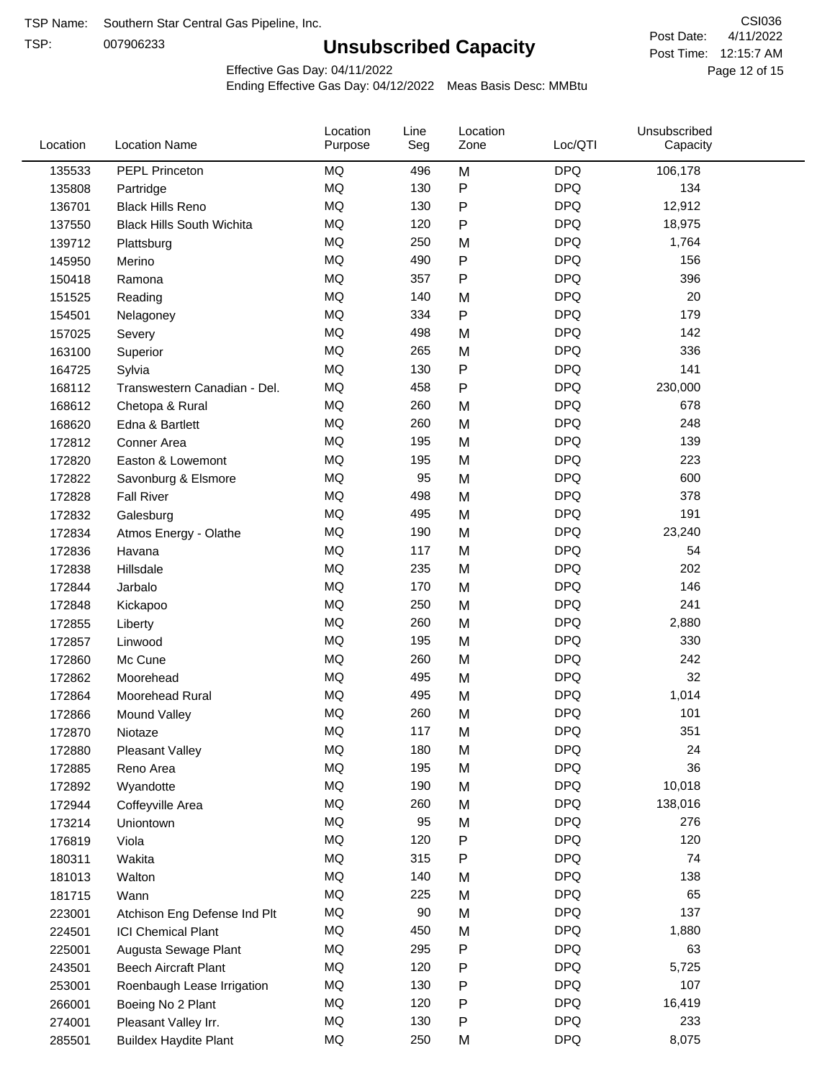TSP:

# **Unsubscribed Capacity**

4/11/2022 Page 12 of 15 Post Time: 12:15:7 AM CSI036 Post Date:

Effective Gas Day: 04/11/2022

| Location | <b>Location Name</b>             | Location<br>Purpose | Line<br>Seg | Location<br>Zone | Loc/QTI    | Unsubscribed<br>Capacity |  |
|----------|----------------------------------|---------------------|-------------|------------------|------------|--------------------------|--|
| 135533   | PEPL Princeton                   | MQ                  | 496         | M                | <b>DPQ</b> | 106,178                  |  |
| 135808   | Partridge                        | MQ                  | 130         | P                | <b>DPQ</b> | 134                      |  |
| 136701   | <b>Black Hills Reno</b>          | MQ                  | 130         | $\mathsf{P}$     | <b>DPQ</b> | 12,912                   |  |
| 137550   | <b>Black Hills South Wichita</b> | MQ                  | 120         | $\mathsf{P}$     | <b>DPQ</b> | 18,975                   |  |
| 139712   | Plattsburg                       | <b>MQ</b>           | 250         | M                | <b>DPQ</b> | 1,764                    |  |
| 145950   | Merino                           | <b>MQ</b>           | 490         | P                | <b>DPQ</b> | 156                      |  |
| 150418   | Ramona                           | <b>MQ</b>           | 357         | $\mathsf{P}$     | <b>DPQ</b> | 396                      |  |
| 151525   | Reading                          | <b>MQ</b>           | 140         | M                | <b>DPQ</b> | 20                       |  |
| 154501   | Nelagoney                        | MQ                  | 334         | P                | <b>DPQ</b> | 179                      |  |
| 157025   | Severy                           | <b>MQ</b>           | 498         | M                | <b>DPQ</b> | 142                      |  |
| 163100   | Superior                         | MQ                  | 265         | M                | <b>DPQ</b> | 336                      |  |
| 164725   | Sylvia                           | MQ                  | 130         | P                | <b>DPQ</b> | 141                      |  |
| 168112   | Transwestern Canadian - Del.     | <b>MQ</b>           | 458         | P                | <b>DPQ</b> | 230,000                  |  |
| 168612   | Chetopa & Rural                  | <b>MQ</b>           | 260         | M                | <b>DPQ</b> | 678                      |  |
| 168620   | Edna & Bartlett                  | <b>MQ</b>           | 260         | M                | <b>DPQ</b> | 248                      |  |
| 172812   | Conner Area                      | <b>MQ</b>           | 195         | M                | <b>DPQ</b> | 139                      |  |
| 172820   | Easton & Lowemont                | MQ                  | 195         | M                | <b>DPQ</b> | 223                      |  |
| 172822   | Savonburg & Elsmore              | MQ                  | 95          | M                | <b>DPQ</b> | 600                      |  |
| 172828   | <b>Fall River</b>                | <b>MQ</b>           | 498         | M                | <b>DPQ</b> | 378                      |  |
| 172832   | Galesburg                        | MQ                  | 495         | M                | <b>DPQ</b> | 191                      |  |
| 172834   | Atmos Energy - Olathe            | MQ                  | 190         | M                | <b>DPQ</b> | 23,240                   |  |
| 172836   | Havana                           | <b>MQ</b>           | 117         | M                | <b>DPQ</b> | 54                       |  |
| 172838   | Hillsdale                        | <b>MQ</b>           | 235         | M                | <b>DPQ</b> | 202                      |  |
| 172844   | Jarbalo                          | <b>MQ</b>           | 170         | M                | <b>DPQ</b> | 146                      |  |
| 172848   | Kickapoo                         | <b>MQ</b>           | 250         | M                | <b>DPQ</b> | 241                      |  |
| 172855   | Liberty                          | MQ                  | 260         | M                | <b>DPQ</b> | 2,880                    |  |
| 172857   | Linwood                          | <b>MQ</b>           | 195         | M                | <b>DPQ</b> | 330                      |  |
| 172860   | Mc Cune                          | <b>MQ</b>           | 260         | M                | <b>DPQ</b> | 242                      |  |
| 172862   | Moorehead                        | <b>MQ</b>           | 495         | M                | <b>DPQ</b> | 32                       |  |
| 172864   | Moorehead Rural                  | MQ                  | 495         | M                | <b>DPQ</b> | 1,014                    |  |
| 172866   | Mound Valley                     | MQ                  | 260         | M                | <b>DPQ</b> | 101                      |  |
| 172870   | Niotaze                          | MQ                  | 117         | M                | <b>DPQ</b> | 351                      |  |
| 172880   | <b>Pleasant Valley</b>           | MQ                  | 180         | M                | <b>DPQ</b> | 24                       |  |
| 172885   | Reno Area                        | $\sf{MQ}$           | 195         | M                | <b>DPQ</b> | 36                       |  |
| 172892   | Wyandotte                        | MQ                  | 190         | M                | <b>DPQ</b> | 10,018                   |  |
| 172944   | Coffeyville Area                 | MQ                  | 260         | M                | <b>DPQ</b> | 138,016                  |  |
| 173214   | Uniontown                        | MQ                  | 95          | M                | <b>DPQ</b> | 276                      |  |
| 176819   | Viola                            | MQ                  | 120         | P                | <b>DPQ</b> | 120                      |  |
| 180311   | Wakita                           | MQ                  | 315         | Ρ                | <b>DPQ</b> | 74                       |  |
| 181013   | Walton                           | MQ                  | 140         | M                | <b>DPQ</b> | 138                      |  |
| 181715   | Wann                             | MQ                  | 225         | M                | <b>DPQ</b> | 65                       |  |
| 223001   | Atchison Eng Defense Ind Plt     | MQ                  | 90          | M                | <b>DPQ</b> | 137                      |  |
| 224501   | <b>ICI Chemical Plant</b>        | $\sf{MQ}$           | 450         | M                | <b>DPQ</b> | 1,880                    |  |
| 225001   | Augusta Sewage Plant             | MQ                  | 295         | P                | <b>DPQ</b> | 63                       |  |
| 243501   | <b>Beech Aircraft Plant</b>      | MQ                  | 120         | Ρ                | <b>DPQ</b> | 5,725                    |  |
| 253001   | Roenbaugh Lease Irrigation       | MQ                  | 130         | P                | <b>DPQ</b> | 107                      |  |
| 266001   | Boeing No 2 Plant                | MQ                  | 120         | P                | <b>DPQ</b> | 16,419                   |  |
| 274001   | Pleasant Valley Irr.             | MQ                  | 130         | P                | <b>DPQ</b> | 233                      |  |
| 285501   | <b>Buildex Haydite Plant</b>     | MQ                  | 250         | M                | <b>DPQ</b> | 8,075                    |  |
|          |                                  |                     |             |                  |            |                          |  |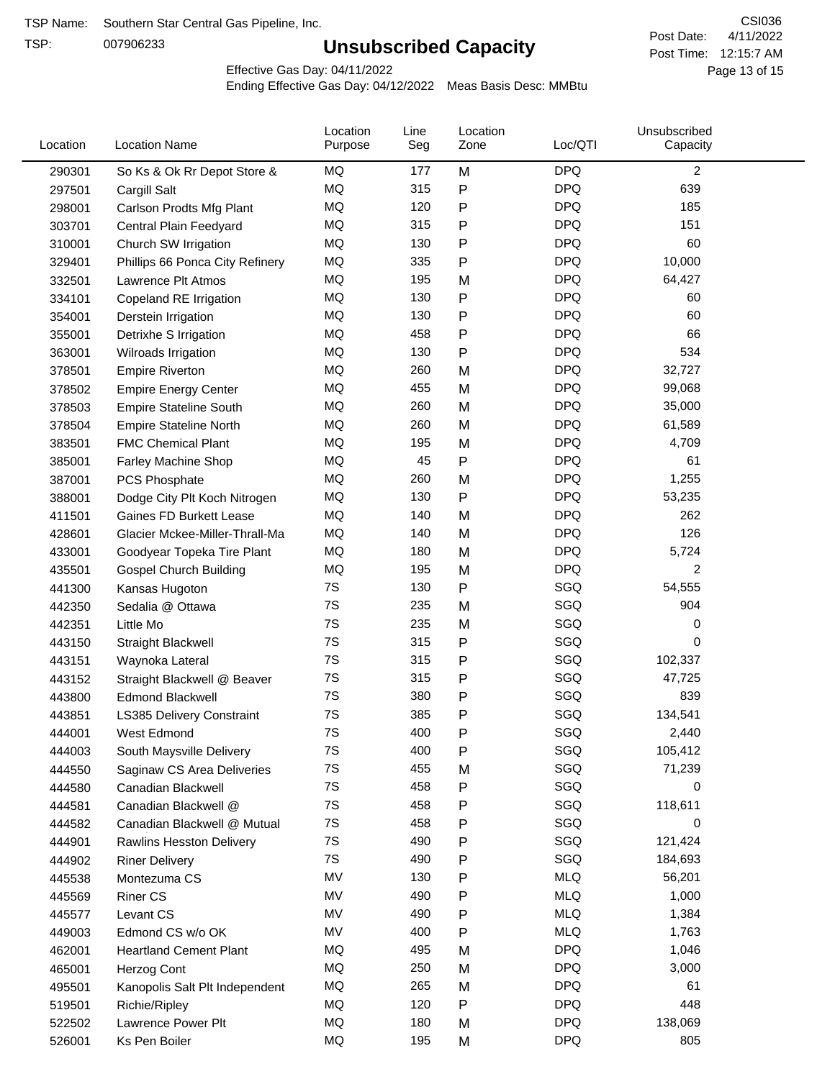TSP:

# **Unsubscribed Capacity**

4/11/2022 Page 13 of 15 Post Time: 12:15:7 AM CSI036 Post Date:

Effective Gas Day: 04/11/2022

| Location | <b>Location Name</b>            | Location<br>Purpose | Line<br>Seg | Location<br>Zone | Loc/QTI    | Unsubscribed<br>Capacity |  |
|----------|---------------------------------|---------------------|-------------|------------------|------------|--------------------------|--|
| 290301   | So Ks & Ok Rr Depot Store &     | MQ                  | 177         | M                | <b>DPQ</b> | $\overline{2}$           |  |
| 297501   | Cargill Salt                    | MQ                  | 315         | ${\sf P}$        | <b>DPQ</b> | 639                      |  |
| 298001   | Carlson Prodts Mfg Plant        | MQ                  | 120         | P                | <b>DPQ</b> | 185                      |  |
| 303701   | Central Plain Feedyard          | MQ                  | 315         | P                | <b>DPQ</b> | 151                      |  |
| 310001   | Church SW Irrigation            | MQ                  | 130         | ${\sf P}$        | <b>DPQ</b> | 60                       |  |
| 329401   | Phillips 66 Ponca City Refinery | MQ                  | 335         | $\mathsf{P}$     | <b>DPQ</b> | 10,000                   |  |
| 332501   | Lawrence Plt Atmos              | MQ                  | 195         | M                | <b>DPQ</b> | 64,427                   |  |
| 334101   | Copeland RE Irrigation          | MQ                  | 130         | P                | <b>DPQ</b> | 60                       |  |
| 354001   | Derstein Irrigation             | MQ                  | 130         | P                | <b>DPQ</b> | 60                       |  |
| 355001   | Detrixhe S Irrigation           | MQ                  | 458         | P                | <b>DPQ</b> | 66                       |  |
| 363001   | Wilroads Irrigation             | MQ                  | 130         | ${\sf P}$        | <b>DPQ</b> | 534                      |  |
| 378501   | <b>Empire Riverton</b>          | MQ                  | 260         | M                | <b>DPQ</b> | 32,727                   |  |
| 378502   | <b>Empire Energy Center</b>     | MQ                  | 455         | M                | <b>DPQ</b> | 99,068                   |  |
| 378503   | <b>Empire Stateline South</b>   | <b>MQ</b>           | 260         | M                | <b>DPQ</b> | 35,000                   |  |
| 378504   | <b>Empire Stateline North</b>   | MQ                  | 260         | M                | <b>DPQ</b> | 61,589                   |  |
| 383501   | <b>FMC Chemical Plant</b>       | MQ                  | 195         | M                | <b>DPQ</b> | 4,709                    |  |
| 385001   | Farley Machine Shop             | MQ                  | 45          | $\mathsf{P}$     | <b>DPQ</b> | 61                       |  |
| 387001   | PCS Phosphate                   | MQ                  | 260         | M                | <b>DPQ</b> | 1,255                    |  |
| 388001   | Dodge City Plt Koch Nitrogen    | MQ                  | 130         | ${\sf P}$        | <b>DPQ</b> | 53,235                   |  |
| 411501   | Gaines FD Burkett Lease         | MQ                  | 140         | M                | <b>DPQ</b> | 262                      |  |
| 428601   | Glacier Mckee-Miller-Thrall-Ma  | MQ                  | 140         | M                | <b>DPQ</b> | 126                      |  |
| 433001   | Goodyear Topeka Tire Plant      | <b>MQ</b>           | 180         | M                | <b>DPQ</b> | 5,724                    |  |
| 435501   | <b>Gospel Church Building</b>   | <b>MQ</b>           | 195         | M                | <b>DPQ</b> | 2                        |  |
| 441300   | Kansas Hugoton                  | 7S                  | 130         | $\mathsf{P}$     | SGQ        | 54,555                   |  |
| 442350   | Sedalia @ Ottawa                | 7S                  | 235         | M                | SGQ        | 904                      |  |
| 442351   | Little Mo                       | 7S                  | 235         | M                | SGQ        | 0                        |  |
| 443150   | Straight Blackwell              | 7S                  | 315         | P                | SGQ        | 0                        |  |
| 443151   | Waynoka Lateral                 | 7S                  | 315         | P                | SGQ        | 102,337                  |  |
| 443152   | Straight Blackwell @ Beaver     | 7S                  | 315         | P                | SGQ        | 47,725                   |  |
| 443800   | <b>Edmond Blackwell</b>         | 7S                  | 380         | ${\sf P}$        | SGQ        | 839                      |  |
| 443851   | LS385 Delivery Constraint       | 7S                  | 385         | P                | SGQ        | 134,541                  |  |
| 444001   | West Edmond                     | 7S                  | 400         | Ρ                | SGQ        | 2,440                    |  |
| 444003   | South Maysville Delivery        | 7S                  | 400         | P                | SGQ        | 105,412                  |  |
| 444550   | Saginaw CS Area Deliveries      | 7S                  | 455         | M                | SGQ        | 71,239                   |  |
| 444580   | Canadian Blackwell              | 7S                  | 458         | P                | SGQ        | 0                        |  |
| 444581   | Canadian Blackwell @            | 7S                  | 458         | P                | SGQ        | 118,611                  |  |
| 444582   | Canadian Blackwell @ Mutual     | 7S                  | 458         | P                | SGQ        | 0                        |  |
| 444901   | Rawlins Hesston Delivery        | 7S                  | 490         | P                | SGQ        | 121,424                  |  |
| 444902   | <b>Riner Delivery</b>           | 7S                  | 490         | P                | SGQ        | 184,693                  |  |
| 445538   | Montezuma CS                    | MV                  | 130         | P                | <b>MLQ</b> | 56,201                   |  |
| 445569   | <b>Riner CS</b>                 | MV                  | 490         | P                | <b>MLQ</b> | 1,000                    |  |
| 445577   | Levant CS                       | MV                  | 490         | P                | <b>MLQ</b> | 1,384                    |  |
| 449003   | Edmond CS w/o OK                | MV                  | 400         | P                | <b>MLQ</b> | 1,763                    |  |
| 462001   | <b>Heartland Cement Plant</b>   | MQ                  | 495         | M                | <b>DPQ</b> | 1,046                    |  |
| 465001   | Herzog Cont                     | MQ                  | 250         | M                | <b>DPQ</b> | 3,000                    |  |
| 495501   | Kanopolis Salt Plt Independent  | MQ                  | 265         | M                | <b>DPQ</b> | 61                       |  |
| 519501   | Richie/Ripley                   | MQ                  | 120         | P                | <b>DPQ</b> | 448                      |  |
| 522502   | Lawrence Power Plt              | MQ                  | 180         | M                | <b>DPQ</b> | 138,069                  |  |
| 526001   | Ks Pen Boiler                   | MQ                  | 195         | M                | <b>DPQ</b> | 805                      |  |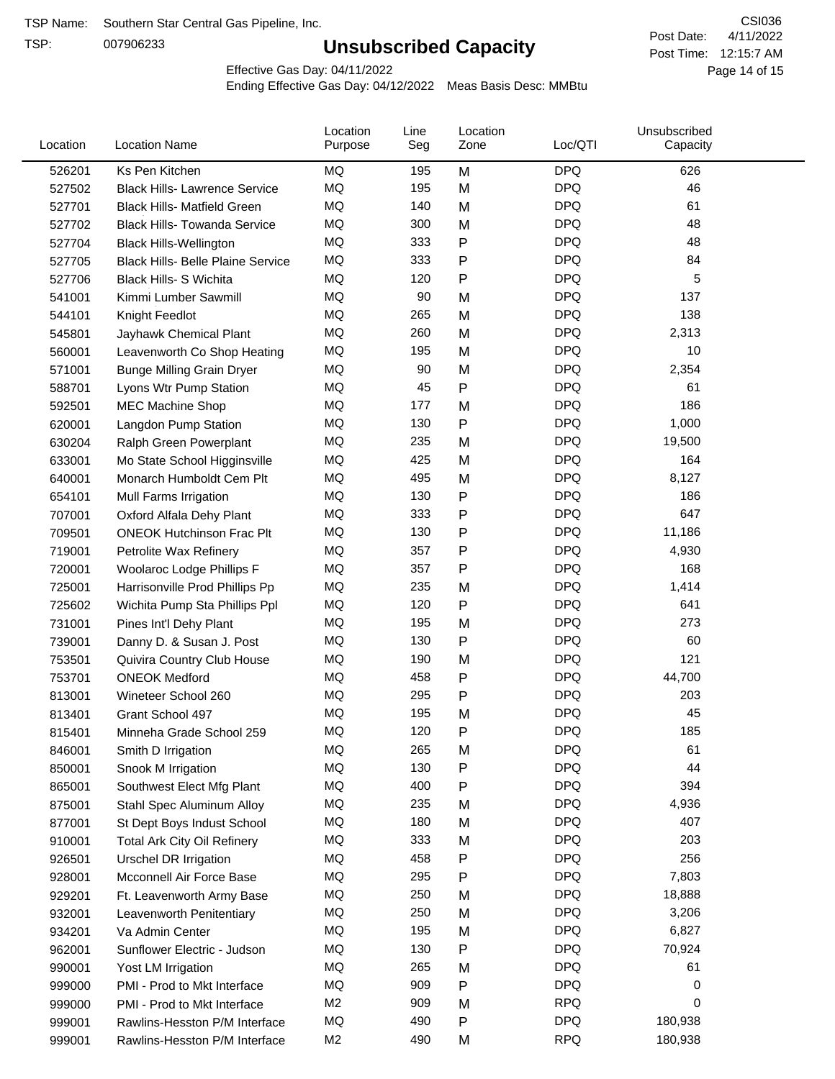TSP:

# **Unsubscribed Capacity**

4/11/2022 Page 14 of 15 Post Time: 12:15:7 AM CSI036 Post Date:

Effective Gas Day: 04/11/2022

| Location | <b>Location Name</b>                     | Location<br>Purpose | Line<br>Seg | Location<br>Zone | Loc/QTI    | Unsubscribed<br>Capacity |  |
|----------|------------------------------------------|---------------------|-------------|------------------|------------|--------------------------|--|
| 526201   | Ks Pen Kitchen                           | MQ                  | 195         | M                | <b>DPQ</b> | 626                      |  |
| 527502   | <b>Black Hills- Lawrence Service</b>     | MQ                  | 195         | M                | <b>DPQ</b> | 46                       |  |
| 527701   | <b>Black Hills- Matfield Green</b>       | MQ                  | 140         | M                | <b>DPQ</b> | 61                       |  |
| 527702   | <b>Black Hills- Towanda Service</b>      | MQ                  | 300         | M                | <b>DPQ</b> | 48                       |  |
| 527704   | <b>Black Hills-Wellington</b>            | MQ                  | 333         | Ρ                | <b>DPQ</b> | 48                       |  |
| 527705   | <b>Black Hills- Belle Plaine Service</b> | MQ                  | 333         | P                | <b>DPQ</b> | 84                       |  |
| 527706   | <b>Black Hills- S Wichita</b>            | MQ                  | 120         | Ρ                | <b>DPQ</b> | 5                        |  |
| 541001   | Kimmi Lumber Sawmill                     | MQ                  | 90          | M                | <b>DPQ</b> | 137                      |  |
| 544101   | Knight Feedlot                           | MQ                  | 265         | M                | <b>DPQ</b> | 138                      |  |
| 545801   | Jayhawk Chemical Plant                   | MQ                  | 260         | M                | <b>DPQ</b> | 2,313                    |  |
| 560001   | Leavenworth Co Shop Heating              | MQ                  | 195         | M                | <b>DPQ</b> | 10                       |  |
| 571001   | <b>Bunge Milling Grain Dryer</b>         | MQ                  | 90          | M                | <b>DPQ</b> | 2,354                    |  |
| 588701   | Lyons Wtr Pump Station                   | MQ                  | 45          | P                | <b>DPQ</b> | 61                       |  |
| 592501   | <b>MEC Machine Shop</b>                  | MQ                  | 177         | M                | <b>DPQ</b> | 186                      |  |
| 620001   | Langdon Pump Station                     | MQ                  | 130         | P                | <b>DPQ</b> | 1,000                    |  |
| 630204   | Ralph Green Powerplant                   | MQ                  | 235         | M                | <b>DPQ</b> | 19,500                   |  |
| 633001   | Mo State School Higginsville             | MQ                  | 425         | M                | <b>DPQ</b> | 164                      |  |
| 640001   | Monarch Humboldt Cem Plt                 | MQ                  | 495         | M                | <b>DPQ</b> | 8,127                    |  |
| 654101   | Mull Farms Irrigation                    | MQ                  | 130         | P                | <b>DPQ</b> | 186                      |  |
| 707001   | Oxford Alfala Dehy Plant                 | MQ                  | 333         | P                | <b>DPQ</b> | 647                      |  |
| 709501   | <b>ONEOK Hutchinson Frac Plt</b>         | MQ                  | 130         | Ρ                | <b>DPQ</b> | 11,186                   |  |
| 719001   | Petrolite Wax Refinery                   | MQ                  | 357         | P                | <b>DPQ</b> | 4,930                    |  |
| 720001   | Woolaroc Lodge Phillips F                | MQ                  | 357         | Ρ                | <b>DPQ</b> | 168                      |  |
| 725001   | Harrisonville Prod Phillips Pp           | MQ                  | 235         | M                | <b>DPQ</b> | 1,414                    |  |
| 725602   | Wichita Pump Sta Phillips Ppl            | MQ                  | 120         | P                | <b>DPQ</b> | 641                      |  |
| 731001   | Pines Int'l Dehy Plant                   | MQ                  | 195         | M                | <b>DPQ</b> | 273                      |  |
| 739001   | Danny D. & Susan J. Post                 | MQ                  | 130         | P                | <b>DPQ</b> | 60                       |  |
| 753501   | Quivira Country Club House               | MQ                  | 190         | M                | <b>DPQ</b> | 121                      |  |
| 753701   | <b>ONEOK Medford</b>                     | MQ                  | 458         | P                | <b>DPQ</b> | 44,700                   |  |
| 813001   | Wineteer School 260                      | MQ                  | 295         | Ρ                | <b>DPQ</b> | 203                      |  |
| 813401   | Grant School 497                         | MQ                  | 195         | M                | <b>DPQ</b> | 45                       |  |
| 815401   | Minneha Grade School 259                 | MQ                  | 120         | Ρ                | <b>DPQ</b> | 185                      |  |
| 846001   | Smith D Irrigation                       | ΜQ                  | 265         | M                | <b>DPQ</b> | 61                       |  |
| 850001   | Snook M Irrigation                       | MQ                  | 130         | P                | <b>DPQ</b> | 44                       |  |
| 865001   | Southwest Elect Mfg Plant                | MQ                  | 400         | Ρ                | <b>DPQ</b> | 394                      |  |
| 875001   | Stahl Spec Aluminum Alloy                | MQ                  | 235         | M                | <b>DPQ</b> | 4,936                    |  |
| 877001   | St Dept Boys Indust School               | MQ                  | 180         | M                | <b>DPQ</b> | 407                      |  |
| 910001   | <b>Total Ark City Oil Refinery</b>       | MQ                  | 333         | M                | <b>DPQ</b> | 203                      |  |
| 926501   | Urschel DR Irrigation                    | MQ                  | 458         | Ρ                | <b>DPQ</b> | 256                      |  |
| 928001   | Mcconnell Air Force Base                 | MQ                  | 295         | Ρ                | <b>DPQ</b> | 7,803                    |  |
| 929201   | Ft. Leavenworth Army Base                | MQ                  | 250         | M                | <b>DPQ</b> | 18,888                   |  |
| 932001   | Leavenworth Penitentiary                 | MQ                  | 250         | M                | <b>DPQ</b> | 3,206                    |  |
| 934201   | Va Admin Center                          | MQ                  | 195         | M                | <b>DPQ</b> | 6,827                    |  |
| 962001   | Sunflower Electric - Judson              | MQ                  | 130         | P                | <b>DPQ</b> | 70,924                   |  |
| 990001   | Yost LM Irrigation                       | MQ                  | 265         | M                | <b>DPQ</b> | 61                       |  |
| 999000   | PMI - Prod to Mkt Interface              | MQ                  | 909         | Ρ                | <b>DPQ</b> | 0                        |  |
| 999000   | PMI - Prod to Mkt Interface              | M <sub>2</sub>      | 909         | M                | <b>RPQ</b> | 0                        |  |
| 999001   | Rawlins-Hesston P/M Interface            | MQ                  | 490         | P                | <b>DPQ</b> | 180,938                  |  |
| 999001   | Rawlins-Hesston P/M Interface            | M <sub>2</sub>      | 490         | M                | <b>RPQ</b> | 180,938                  |  |